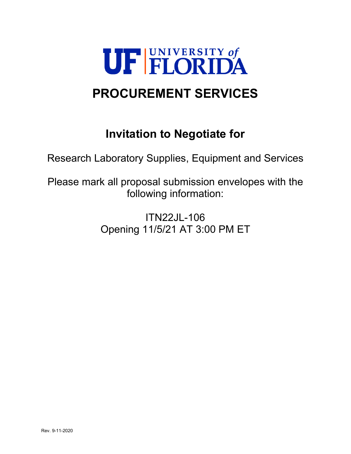

# **PROCUREMENT SERVICES**

# **Invitation to Negotiate for**

Research Laboratory Supplies, Equipment and Services

Please mark all proposal submission envelopes with the following information:

> ITN22JL-106 Opening 11/5/21 AT 3:00 PM ET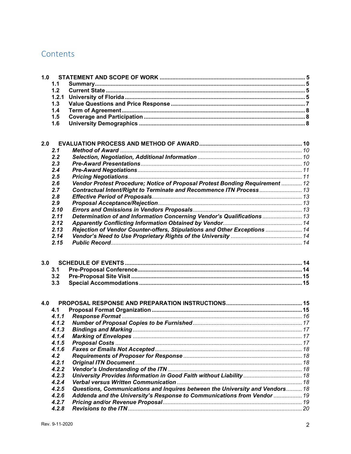## Contents

| 1.0 |       |                                                                              |  |
|-----|-------|------------------------------------------------------------------------------|--|
|     | 1.1   |                                                                              |  |
|     | 1.2   |                                                                              |  |
|     | 1.2.1 |                                                                              |  |
|     | 1.3   |                                                                              |  |
|     | 1.4   |                                                                              |  |
|     | 1.5   |                                                                              |  |
|     | 1.6   |                                                                              |  |
|     |       |                                                                              |  |
| 2.0 |       |                                                                              |  |
|     | 2.1   |                                                                              |  |
|     | 2.2   |                                                                              |  |
|     | 2.3   |                                                                              |  |
|     | 2.4   |                                                                              |  |
|     | 2.5   |                                                                              |  |
|     | 2.6   | Vendor Protest Procedure; Notice of Proposal Protest Bonding Requirement  12 |  |
|     |       |                                                                              |  |
|     | 2.7   | Contractual Intent/Right to Terminate and Recommence ITN Process 13          |  |
|     | 2.8   |                                                                              |  |
|     | 2.9   |                                                                              |  |
|     | 2.10  |                                                                              |  |
|     | 2.11  | Determination of and Information Concerning Vendor's Qualifications  13      |  |
|     | 2.12  |                                                                              |  |
|     | 2.13  | Rejection of Vendor Counter-offers, Stipulations and Other Exceptions  14    |  |
|     | 2.14  |                                                                              |  |
|     | 2.15  |                                                                              |  |
|     |       |                                                                              |  |
| 3.0 |       |                                                                              |  |
|     | 3.1   |                                                                              |  |
|     | 3.2   |                                                                              |  |
|     | 3.3   |                                                                              |  |
|     |       |                                                                              |  |
| 4.0 | 4.1   |                                                                              |  |
|     | 4.1.1 |                                                                              |  |
|     |       |                                                                              |  |
|     | 4.1.2 |                                                                              |  |
|     | 4.1.3 |                                                                              |  |
|     | 4.1.4 |                                                                              |  |
|     | 4.1.5 |                                                                              |  |
|     | 4.1.6 |                                                                              |  |
|     | 4.2   |                                                                              |  |
|     | 4.2.1 |                                                                              |  |
|     | 4.2.2 |                                                                              |  |
|     | 4.2.3 | University Provides Information in Good Faith without Liability  18          |  |
|     | 4.2.4 |                                                                              |  |
|     | 4.2.5 | Questions, Communications and Inquires between the University and Vendors 18 |  |
|     | 4.2.6 |                                                                              |  |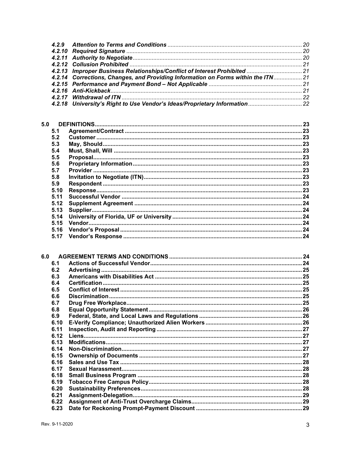|  | 4.2.14 Corrections, Changes, and Providing Information on Forms within the ITN 21 |  |
|--|-----------------------------------------------------------------------------------|--|
|  |                                                                                   |  |
|  |                                                                                   |  |
|  |                                                                                   |  |
|  | 4.2.18 University's Right to Use Vendor's Ideas/Proprietary Information  22       |  |
|  |                                                                                   |  |

| 5.0 |      |  |
|-----|------|--|
|     | 5.1  |  |
|     | 5.2  |  |
|     | 5.3  |  |
|     | 5.4  |  |
|     | 5.5  |  |
|     | 5.6  |  |
|     | 5.7  |  |
|     | 5.8  |  |
|     | 5.9  |  |
|     | 5.10 |  |
|     | 5.11 |  |
|     | 5.12 |  |
|     | 5.13 |  |
|     | 5.14 |  |
|     | 5.15 |  |
|     | 5.16 |  |
|     | 5.17 |  |
|     |      |  |

| 6.0 |      |  |
|-----|------|--|
|     | 6.1  |  |
|     | 6.2  |  |
|     | 6.3  |  |
|     | 6.4  |  |
|     | 6.5  |  |
|     | 6.6  |  |
|     | 6.7  |  |
|     | 6.8  |  |
|     | 6.9  |  |
|     | 6.10 |  |
|     | 6.11 |  |
|     | 6.12 |  |
|     | 6.13 |  |
|     | 6.14 |  |
|     | 6.15 |  |
|     | 6.16 |  |
|     | 6.17 |  |
|     | 6.18 |  |
|     | 6.19 |  |
|     | 6.20 |  |
|     | 6.21 |  |
|     | 6.22 |  |
|     | 6.23 |  |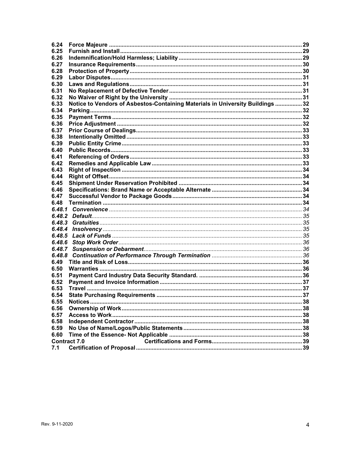| 6.24   |                                                                                |  |
|--------|--------------------------------------------------------------------------------|--|
| 6.25   |                                                                                |  |
| 6.26   |                                                                                |  |
| 6.27   |                                                                                |  |
| 6.28   |                                                                                |  |
| 6.29   |                                                                                |  |
| 6.30   |                                                                                |  |
| 6.31   |                                                                                |  |
| 6.32   |                                                                                |  |
| 6.33   | Notice to Vendors of Asbestos-Containing Materials in University Buildings  32 |  |
| 6.34   |                                                                                |  |
| 6.35   |                                                                                |  |
| 6.36   |                                                                                |  |
| 6.37   |                                                                                |  |
| 6.38   |                                                                                |  |
| 6.39   |                                                                                |  |
| 6.40   |                                                                                |  |
| 6.41   |                                                                                |  |
| 6.42   |                                                                                |  |
| 6.43   |                                                                                |  |
| 6.44   |                                                                                |  |
| 6.45   |                                                                                |  |
| 6.46   |                                                                                |  |
| 6.47   |                                                                                |  |
|        |                                                                                |  |
| 6.48   |                                                                                |  |
| 6.48.1 |                                                                                |  |
|        |                                                                                |  |
| 6.48.3 |                                                                                |  |
| 6.48.4 |                                                                                |  |
| 6.48.5 |                                                                                |  |
| 6.48.6 |                                                                                |  |
| 6.48.7 |                                                                                |  |
| 6.48.8 |                                                                                |  |
| 6.49   |                                                                                |  |
| 6.50   |                                                                                |  |
| 6.51   |                                                                                |  |
| 6.52   |                                                                                |  |
| 6.53   |                                                                                |  |
| 6.54   |                                                                                |  |
| 6.55   |                                                                                |  |
| 6.56   |                                                                                |  |
| 6.57   |                                                                                |  |
| 6.58   |                                                                                |  |
| 6.59   |                                                                                |  |
| 6.60   | <b>Contract 7.0</b>                                                            |  |
| 7.1    |                                                                                |  |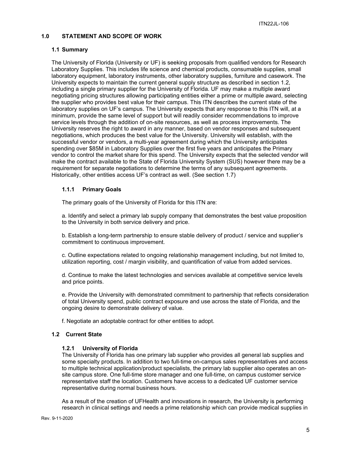## <span id="page-4-0"></span>**1.0 STATEMENT AND SCOPE OF WORK**

#### <span id="page-4-1"></span>**1.1 Summary**

The University of Florida (University or UF) is seeking proposals from qualified vendors for Research Laboratory Supplies. This includes life science and chemical products, consumable supplies, small laboratory equipment, laboratory instruments, other laboratory supplies, furniture and casework. The University expects to maintain the current general supply structure as described in section 1.2, including a single primary supplier for the University of Florida. UF may make a multiple award negotiating pricing structures allowing participating entities either a prime or multiple award, selecting the supplier who provides best value for their campus. This ITN describes the current state of the laboratory supplies on UF's campus. The University expects that any response to this ITN will, at a minimum, provide the same level of support but will readily consider recommendations to improve service levels through the addition of on-site resources, as well as process improvements. The University reserves the right to award in any manner, based on vendor responses and subsequent negotiations, which produces the best value for the University. University will establish, with the successful vendor or vendors, a multi-year agreement during which the University anticipates spending over \$85M in Laboratory Supplies over the first five years and anticipates the Primary vendor to control the market share for this spend. The University expects that the selected vendor will make the contract available to the State of Florida University System (SUS) however there may be a requirement for separate negotiations to determine the terms of any subsequent agreements. Historically, other entities access UF's contract as well. (See section 1.7)

## **1.1.1 Primary Goals**

The primary goals of the University of Florida for this ITN are:

a. Identify and select a primary lab supply company that demonstrates the best value proposition to the University in both service delivery and price.

b. Establish a long-term partnership to ensure stable delivery of product / service and supplier's commitment to continuous improvement.

c. Outline expectations related to ongoing relationship management including, but not limited to, utilization reporting, cost / margin visibility, and quantification of value from added services.

d. Continue to make the latest technologies and services available at competitive service levels and price points.

e. Provide the University with demonstrated commitment to partnership that reflects consideration of total University spend, public contract exposure and use across the state of Florida, and the ongoing desire to demonstrate delivery of value.

f. Negotiate an adoptable contract for other entities to adopt.

#### <span id="page-4-3"></span><span id="page-4-2"></span>**1.2 Current State**

#### **1.2.1 University of Florida**

The University of Florida has one primary lab supplier who provides all general lab supplies and some specialty products. In addition to two full-time on-campus sales representatives and access to multiple technical application/product specialists, the primary lab supplier also operates an onsite campus store. One full-time store manager and one full-time, on campus customer service representative staff the location. Customers have access to a dedicated UF customer service representative during normal business hours.

As a result of the creation of UFHealth and innovations in research, the University is performing research in clinical settings and needs a prime relationship which can provide medical supplies in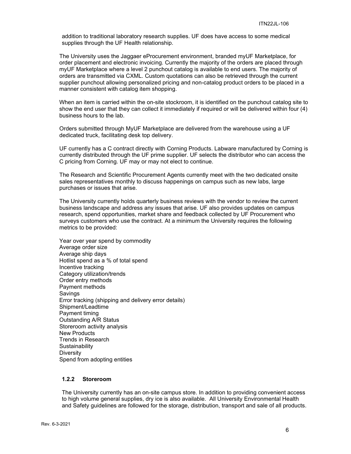addition to traditional laboratory research supplies. UF does have access to some medical supplies through the UF Health relationship.

The University uses the Jaggaer eProcurement environment, branded myUF Marketplace, for order placement and electronic invoicing. Currently the majority of the orders are placed through myUF Marketplace where a level 2 punchout catalog is available to end users. The majority of orders are transmitted via CXML. Custom quotations can also be retrieved through the current supplier punchout allowing personalized pricing and non-catalog product orders to be placed in a manner consistent with catalog item shopping.

When an item is carried within the on-site stockroom, it is identified on the punchout catalog site to show the end user that they can collect it immediately if required or will be delivered within four (4) business hours to the lab.

Orders submitted through MyUF Marketplace are delivered from the warehouse using a UF dedicated truck, facilitating desk top delivery.

UF currently has a C contract directly with Corning Products. Labware manufactured by Corning is currently distributed through the UF prime supplier. UF selects the distributor who can access the C pricing from Corning. UF may or may not elect to continue.

The Research and Scientific Procurement Agents currently meet with the two dedicated onsite sales representatives monthly to discuss happenings on campus such as new labs, large purchases or issues that arise.

The University currently holds quarterly business reviews with the vendor to review the current business landscape and address any issues that arise. UF also provides updates on campus research, spend opportunities, market share and feedback collected by UF Procurement who surveys customers who use the contract. At a minimum the University requires the following metrics to be provided:

Year over year spend by commodity Average order size Average ship days Hotlist spend as a % of total spend Incentive tracking Category utilization/trends Order entry methods Payment methods Savings Error tracking (shipping and delivery error details) Shipment/Leadtime Payment timing Outstanding A/R Status Storeroom activity analysis New Products Trends in Research **Sustainability Diversity** Spend from adopting entities

## **1.2.2 Storeroom**

The University currently has an on-site campus store. In addition to providing convenient access to high volume general supplies, dry ice is also available. All University Environmental Health and Safety guidelines are followed for the storage, distribution, transport and sale of all products.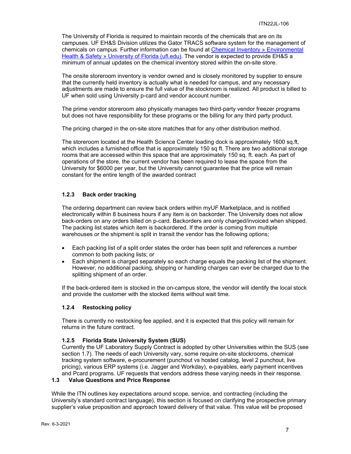The University of Florida is required to maintain records of the chemicals that are on its campuses. UF EH&S Division utilizes the Gator TRACS software system for the management of chemicals on campus. Further information can be found at [Chemical Inventory](https://www.ehs.ufl.edu/programs/lab-research/gator-tracs/latch/chemical-inventory/) » Environmental [Health & Safety » University of Florida \(ufl.edu\).](https://www.ehs.ufl.edu/programs/lab-research/gator-tracs/latch/chemical-inventory/) The vendor is expected to provide EH&S a minimum of annual updates on the chemical inventory stored within the on-site store.

The onsite storeroom inventory is vendor owned and is closely monitored by supplier to ensure that the currently held inventory is actually what is needed for campus, and any necessary adjustments are made to ensure the full value of the stockroom is realized. All product is billed to UF when sold using University p-card and vendor account number.

The prime vendor storeroom also physically manages two third-party vendor freezer programs but does not have responsibility for these programs or the billing for any third party product.

The pricing charged in the on-site store matches that for any other distribution method.

The storeroom located at the Health Science Center loading dock is approximately 1600 sq.ft, which includes a furnished office that is approximately 150 sq ft. There are two additional storage rooms that are accessed within this space that are approximately 150 sq. ft. each. As part of operations of the store, the current vendor has been required to lease the space from the University for \$6000 per year, but the University cannot guarantee that the price will remain constant for the entire length of the awarded contract

## **1.2.3 Back order tracking**

The ordering department can review back orders within myUF Marketplace, and is notified electronically within 8 business hours if any item is on backorder. The University does not allow back-orders on any orders billed on p-card. Backorders are only charged/invoiced when shipped. The packing list states which item is backordered. If the order is coming from multiple warehouses or the shipment is split in transit the vendor has the following options;

- Each packing list of a split order states the order has been split and references a number common to both packing lists; or
- Each shipment is charged separately so each charge equals the packing list of the shipment. However, no additional packing, shipping or handling charges can ever be charged due to the splitting shipment of an order.

If the back-ordered item is stocked in the on-campus store, the vendor will identify the local stock and provide the customer with the stocked items without wait time.

#### **1.2.4 Restocking policy**

There is currently no restocking fee applied, and it is expected that this policy will remain for returns in the future contract.

#### **1.2.5 Florida State University System (SUS)**

Currently the UF Laboratory Supply Contract is adopted by other Universities within the SUS (see section 1.7). The needs of each University vary, some require on-site stockrooms, chemical tracking system software, e-procurement (punchout vs hosted catalog, level 2 punchout, live pricing), various ERP systems (i.e. Jagger and Workday), e-payables, early payment incentives and Pcard programs. UF requests that vendors address these varying needs in their response.

#### <span id="page-6-0"></span>**1.3 Value Questions and Price Response**

While the ITN outlines key expectations around scope, service, and contracting (including the University's standard contract language), this section is focused on clarifying the prospective primary supplier's value proposition and approach toward delivery of that value. This value will be proposed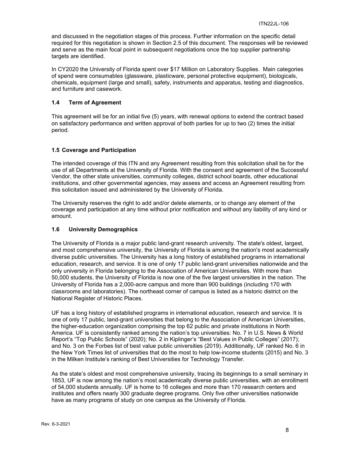and discussed in the negotiation stages of this process. Further information on the specific detail required for this negotiation is shown in Section 2.5 of this document. The responses will be reviewed and serve as the main focal point in subsequent negotiations once the top supplier partnership targets are identified.

In CY2020 the University of Florida spent over \$17 Million on Laboratory Supplies. Main categories of spend were consumables (glassware, plasticware, personal protective equipment), biologicals, chemicals, equipment (large and small), safety, instruments and apparatus, testing and diagnostics, and furniture and casework.

## <span id="page-7-0"></span>**1.4 Term of Agreement**

This agreement will be for an initial five (5) years, with renewal options to extend the contract based on satisfactory performance and written approval of both parties for up to two (2) times the initial period.

## <span id="page-7-1"></span>**1.5 Coverage and Participation**

The intended coverage of this ITN and any Agreement resulting from this solicitation shall be for the use of all Departments at the University of Florida. With the consent and agreement of the Successful Vendor, the other state universities, community colleges, district school boards, other educational institutions, and other governmental agencies, may assess and access an Agreement resulting from this solicitation issued and administered by the University of Florida.

The University reserves the right to add and/or delete elements, or to change any element of the coverage and participation at any time without prior notification and without any liability of any kind or amount.

## <span id="page-7-2"></span>**1.6 University Demographics**

The University of Florida is a major public land-grant research university. The state's oldest, largest, and most comprehensive university, the University of Florida is among the nation's most academically diverse public universities. The University has a long history of established programs in international education, research, and service. It is one of only 17 public land-grant universities nationwide and the only university in Florida belonging to the Association of American Universities. With more than 50,000 students, the University of Florida is now one of the five largest universities in the nation. The University of Florida has a 2,000-acre campus and more than 900 buildings (including 170 with classrooms and laboratories). The northeast corner of campus is listed as a historic district on the National Register of Historic Places.

UF has a long history of established programs in international education, research and service. It is one of only 17 public, land-grant universities that belong to the Association of American Universities, the higher-education organization comprising the top 62 public and private institutions in North America. UF is consistently ranked among the nation's top universities: No. 7 in U.S. News & World Report's "Top Public Schools" (2020); No. 2 in Kiplinger's "Best Values in Public Colleges" (2017); and No. 3 on the Forbes list of best value public universities (2019). Additionally, UF ranked No. 6 in the New York Times list of universities that do the most to help low-income students (2015) and No. 3 in the Milken Institute's ranking of Best Universities for Technology Transfer.

As the state's oldest and most comprehensive university, tracing its beginnings to a small seminary in 1853, UF is now among the nation's most academically diverse public universities. with an enrollment of 54,000 students annually. UF is home to 16 colleges and more than 170 research centers and institutes and offers nearly 300 graduate degree programs. Only five other universities nationwide have as many programs of study on one campus as the University of Florida.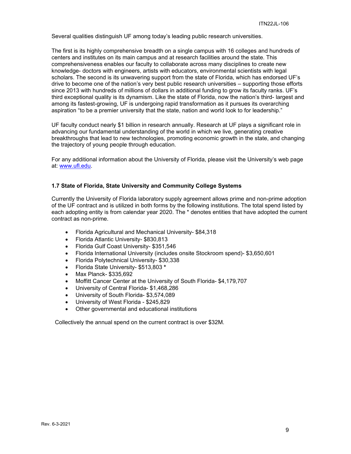Several qualities distinguish UF among today's leading public research universities.

The first is its highly comprehensive breadth on a single campus with 16 colleges and hundreds of centers and institutes on its main campus and at research facilities around the state. This comprehensiveness enables our faculty to collaborate across many disciplines to create new knowledge- doctors with engineers, artists with educators, environmental scientists with legal scholars. The second is its unwavering support from the state of Florida, which has endorsed UF's drive to become one of the nation's very best public research universities – supporting those efforts since 2013 with hundreds of millions of dollars in additional funding to grow its faculty ranks. UF's third exceptional quality is its dynamism. Like the state of Florida, now the nation's third- largest and among its fastest-growing, UF is undergoing rapid transformation as it pursues its overarching aspiration "to be a premier university that the state, nation and world look to for leadership."

UF faculty conduct nearly \$1 billion in research annually. Research at UF plays a significant role in advancing our fundamental understanding of the world in which we live, generating creative breakthroughs that lead to new technologies, promoting economic growth in the state, and changing the trajectory of young people through education.

For any additional information about the University of Florida, please visit the University's web page at: [www.ufl.edu.](http://www.ufl.edu/)

#### **1.7 State of Florida, State University and Community College Systems**

Currently the University of Florida laboratory supply agreement allows prime and non-prime adoption of the UF contract and is utilized in both forms by the following institutions. The total spend listed by each adopting entity is from calendar year 2020. The \* denotes entities that have adopted the current contract as non-prime.

- Florida Agricultural and Mechanical University- \$84,318
- Florida Atlantic University- \$830,813
- Florida Gulf Coast University- \$351,546
- Florida International University (includes onsite Stockroom spend)- \$3,650,601
- Florida Polytechnical University- \$30,338
- Florida State University- \$513,803 **\***
- Max Planck- \$335,692
- Moffitt Cancer Center at the University of South Florida- \$4,179,707
- University of Central Florida- \$1,468,286
- University of South Florida- \$3,574,089
- University of West Florida \$245,829
- Other governmental and educational institutions

Collectively the annual spend on the current contract is over \$32M.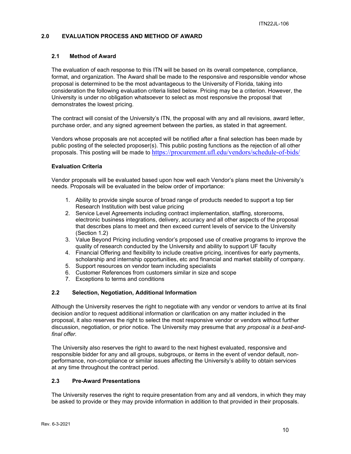## <span id="page-9-0"></span>**2.0 EVALUATION PROCESS AND METHOD OF AWARD**

## <span id="page-9-1"></span>**2.1 Method of Award**

The evaluation of each response to this ITN will be based on its overall competence, compliance, format, and organization. The Award shall be made to the responsive and responsible vendor whose proposal is determined to be the most advantageous to the University of Florida, taking into consideration the following evaluation criteria listed below. Pricing may be a criterion. However, the University is under no obligation whatsoever to select as most responsive the proposal that demonstrates the lowest pricing.

The contract will consist of the University's ITN, the proposal with any and all revisions, award letter, purchase order, and any signed agreement between the parties, as stated in that agreement.

Vendors whose proposals are not accepted will be notified after a final selection has been made by public posting of the selected proposer(s). This public posting functions as the rejection of all other proposals. This posting will be made to <https://procurement.ufl.edu/vendors/schedule-of-bids/>

#### **Evaluation Criteria**

Vendor proposals will be evaluated based upon how well each Vendor's plans meet the University's needs. Proposals will be evaluated in the below order of importance:

- 1. Ability to provide single source of broad range of products needed to support a top tier Research Institution with best value pricing
- 2. Service Level Agreements including contract implementation, staffing, storerooms, electronic business integrations, delivery, accuracy and all other aspects of the proposal that describes plans to meet and then exceed current levels of service to the University (Section 1.2)
- 3. Value Beyond Pricing including vendor's proposed use of creative programs to improve the quality of research conducted by the University and ability to support UF faculty
- 4. Financial Offering and flexibility to include creative pricing, incentives for early payments, scholarship and internship opportunities, etc and financial and market stability of company.
- 5. Support resources on vendor team including specialists
- 6. Customer References from customers similar in size and scope
- 7. Exceptions to terms and conditions

## <span id="page-9-2"></span>**2.2 Selection, Negotiation, Additional Information**

Although the University reserves the right to negotiate with any vendor or vendors to arrive at its final decision and/or to request additional information or clarification on any matter included in the proposal, it also reserves the right to select the most responsive vendor or vendors without further discussion, negotiation, or prior notice. The University may presume that *any proposal is a best-andfinal offer.*

The University also reserves the right to award to the next highest evaluated, responsive and responsible bidder for any and all groups, subgroups, or items in the event of vendor default, nonperformance, non-compliance or similar issues affecting the University's ability to obtain services at any time throughout the contract period.

#### <span id="page-9-3"></span>**2.3 Pre-Award Presentations**

The University reserves the right to require presentation from any and all vendors, in which they may be asked to provide or they may provide information in addition to that provided in their proposals.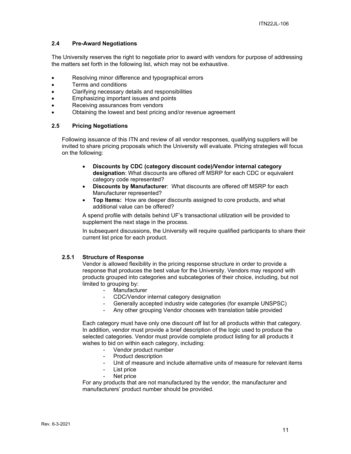## <span id="page-10-0"></span>**2.4 Pre-Award Negotiations**

The University reserves the right to negotiate prior to award with vendors for purpose of addressing the matters set forth in the following list, which may not be exhaustive.

- Resolving minor difference and typographical errors
- Terms and conditions
- Clarifying necessary details and responsibilities
- Emphasizing important issues and points
- Receiving assurances from vendors
- Obtaining the lowest and best pricing and/or revenue agreement

## <span id="page-10-1"></span>**2.5 Pricing Negotiations**

Following issuance of this ITN and review of all vendor responses, qualifying suppliers will be invited to share pricing proposals which the University will evaluate. Pricing strategies will focus on the following:

- **Discounts by CDC (category discount code)/Vendor internal category designation**: What discounts are offered off MSRP for each CDC or equivalent category code represented?
- **Discounts by Manufacturer**: What discounts are offered off MSRP for each Manufacturer represented?
- **Top Items:** How are deeper discounts assigned to core products, and what additional value can be offered?

A spend profile with details behind UF's transactional utilization will be provided to supplement the next stage in the process.

In subsequent discussions, the University will require qualified participants to share their current list price for each product.

#### **2.5.1 Structure of Response**

Vendor is allowed flexibility in the pricing response structure in order to provide a response that produces the best value for the University. Vendors may respond with products grouped into categories and subcategories of their choice, including, but not limited to grouping by:

- **Manufacturer**
- CDC/Vendor internal category designation
- Generally accepted industry wide categories (for example UNSPSC)
- Any other grouping Vendor chooses with translation table provided

Each category must have only one discount off list for all products within that category. In addition, vendor must provide a brief description of the logic used to produce the selected categories. Vendor must provide complete product listing for all products it wishes to bid on within each category, including:

- Vendor product number
- Product description
- Unit of measure and include alternative units of measure for relevant items
- List price
- Net price

For any products that are not manufactured by the vendor, the manufacturer and manufacturers' product number should be provided.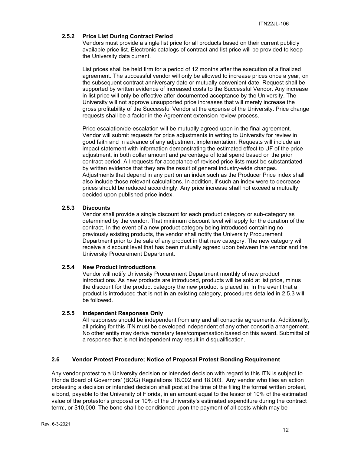## **2.5.2 Price List During Contract Period**

Vendors must provide a single list price for all products based on their current publicly available price list. Electronic catalogs of contract and list price will be provided to keep the University data current.

List prices shall be held firm for a period of 12 months after the execution of a finalized agreement. The successful vendor will only be allowed to increase prices once a year, on the subsequent contract anniversary date or mutually convenient date. Request shall be supported by written evidence of increased costs to the Successful Vendor. Any increase in list price will only be effective after documented acceptance by the University. The University will not approve unsupported price increases that will merely increase the gross profitability of the Successful Vendor at the expense of the University. Price change requests shall be a factor in the Agreement extension review process.

Price escalation/de-escalation will be mutually agreed upon in the final agreement. Vendor will submit requests for price adjustments in writing to University for review in good faith and in advance of any adjustment implementation. Requests will include an impact statement with information demonstrating the estimated effect to UF of the price adjustment, in both dollar amount and percentage of total spend based on the prior contract period. All requests for acceptance of revised price lists must be substantiated by written evidence that they are the result of general industry-wide changes. Adjustments that depend in any part on an index such as the Producer Price index shall also include those relevant calculations. In addition, if such an index were to decrease prices should be reduced accordingly. Any price increase shall not exceed a mutually decided upon published price index.

#### **2.5.3 Discounts**

Vendor shall provide a single discount for each product category or sub-category as determined by the vendor. That minimum discount level will apply for the duration of the contract. In the event of a new product category being introduced containing no previously existing products, the vendor shall notify the University Procurement Department prior to the sale of any product in that new category. The new category will receive a discount level that has been mutually agreed upon between the vendor and the University Procurement Department.

#### **2.5.4 New Product Introductions**

Vendor will notify University Procurement Department monthly of new product introductions. As new products are introduced, products will be sold at list price, minus the discount for the product category the new product is placed in. In the event that a product is introduced that is not in an existing category, procedures detailed in 2.5.3 will be followed.

#### **2.5.5 Independent Responses Only**

All responses should be independent from any and all consortia agreements. Additionally, all pricing for this ITN must be developed independent of any other consortia arrangement. No other entity may derive monetary fees/compensation based on this award. Submittal of a response that is not independent may result in disqualification.

## <span id="page-11-0"></span>**2.6 Vendor Protest Procedure; Notice of Proposal Protest Bonding Requirement**

Any vendor protest to a University decision or intended decision with regard to this ITN is subject to Florida Board of Governors' (BOG) Regulations 18.002 and 18.003. Any vendor who files an action protesting a decision or intended decision shall post at the time of the filing the formal written protest, a bond, payable to the University of Florida, in an amount equal to the lessor of 10% of the estimated value of the protestor's proposal or 10% of the University's estimated expenditure during the contract term:, or \$10,000. The bond shall be conditioned upon the payment of all costs which may be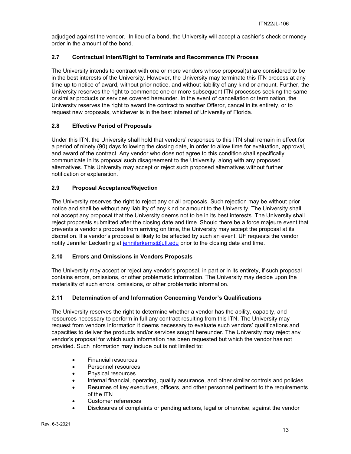adjudged against the vendor. In lieu of a bond, the University will accept a cashier's check or money order in the amount of the bond.

## <span id="page-12-0"></span>**2.7 Contractual Intent/Right to Terminate and Recommence ITN Process**

The University intends to contract with one or more vendors whose proposal(s) are considered to be in the best interests of the University. However, the University may terminate this ITN process at any time up to notice of award, without prior notice, and without liability of any kind or amount. Further, the University reserves the right to commence one or more subsequent ITN processes seeking the same or similar products or services covered hereunder. In the event of cancellation or termination, the University reserves the right to award the contract to another Offeror, cancel in its entirety, or to request new proposals, whichever is in the best interest of University of Florida.

## <span id="page-12-1"></span>**2.8 Effective Period of Proposals**

Under this ITN, the University shall hold that vendors' responses to this ITN shall remain in effect for a period of ninety (90) days following the closing date, in order to allow time for evaluation, approval, and award of the contract. Any vendor who does not agree to this condition shall specifically communicate in its proposal such disagreement to the University, along with any proposed alternatives. This University may accept or reject such proposed alternatives without further notification or explanation.

## <span id="page-12-2"></span>**2.9 Proposal Acceptance/Rejection**

The University reserves the right to reject any or all proposals. Such rejection may be without prior notice and shall be without any liability of any kind or amount to the University. The University shall not accept any proposal that the University deems not to be in its best interests. The University shall reject proposals submitted after the closing date and time. Should there be a force majeure event that prevents a vendor's proposal from arriving on time, the University may accept the proposal at its discretion. If a vendor's proposal is likely to be affected by such an event, UF requests the vendor notify Jennifer Leckerling at [jenniferkerns@ufl.edu](mailto:jenniferkerns@ufl.edu) prior to the closing date and time.

## <span id="page-12-3"></span>**2.10 Errors and Omissions in Vendors Proposals**

The University may accept or reject any vendor's proposal, in part or in its entirety, if such proposal contains errors, omissions, or other problematic information. The University may decide upon the materiality of such errors, omissions, or other problematic information.

## <span id="page-12-4"></span>**2.11 Determination of and Information Concerning Vendor's Qualifications**

The University reserves the right to determine whether a vendor has the ability, capacity, and resources necessary to perform in full any contract resulting from this ITN. The University may request from vendors information it deems necessary to evaluate such vendors' qualifications and capacities to deliver the products and/or services sought hereunder. The University may reject any vendor's proposal for which such information has been requested but which the vendor has not provided. Such information may include but is not limited to:

- Financial resources
- Personnel resources
- Physical resources
- Internal financial, operating, quality assurance, and other similar controls and policies
- Resumes of key executives, officers, and other personnel pertinent to the requirements of the ITN
- Customer references
- Disclosures of complaints or pending actions, legal or otherwise, against the vendor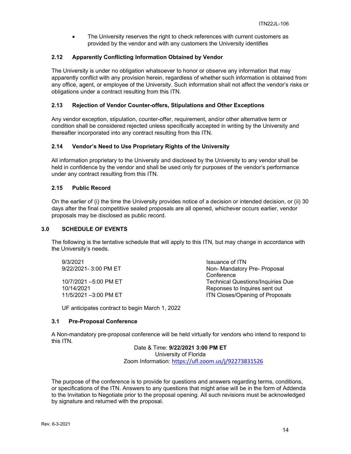• The University reserves the right to check references with current customers as provided by the vendor and with any customers the University identifies

## <span id="page-13-0"></span>**2.12 Apparently Conflicting Information Obtained by Vendor**

The University is under no obligation whatsoever to honor or observe any information that may apparently conflict with any provision herein, regardless of whether such information is obtained from any office, agent, or employee of the University. Such information shall not affect the vendor's risks or obligations under a contract resulting from this ITN.

## <span id="page-13-1"></span>**2.13 Rejection of Vendor Counter-offers, Stipulations and Other Exceptions**

Any vendor exception, stipulation, counter-offer, requirement, and/or other alternative term or condition shall be considered rejected unless specifically accepted in writing by the University and thereafter incorporated into any contract resulting from this ITN.

## <span id="page-13-2"></span>**2.14 Vendor's Need to Use Proprietary Rights of the University**

All information proprietary to the University and disclosed by the University to any vendor shall be held in confidence by the vendor and shall be used only for purposes of the vendor's performance under any contract resulting from this ITN.

## <span id="page-13-3"></span>**2.15 Public Record**

On the earlier of (i) the time the University provides notice of a decision or intended decision, or (ii) 30 days after the final competitive sealed proposals are all opened, whichever occurs earlier, vendor proposals may be disclosed as public record.

#### <span id="page-13-4"></span>**3.0 SCHEDULE OF EVENTS**

The following is the tentative schedule that will apply to this ITN, but may change in accordance with the University's needs.

9/3/2021<br>9/22/2021 Issuance of ITN<br>9/22/2021- 3:00 PM FT

Non- Mandatory Pre- Proposal **Conference** 10/7/2021 –5:00 PM ET Technical Questions/Inquiries Due Reponses to Inquires sent out 11/5/2021 –3:00 PM ET **ITN Closes/Opening of Proposals** 

UF anticipates contract to begin March 1, 2022

#### <span id="page-13-5"></span>**3.1 Pre-Proposal Conference**

A Non-mandatory pre-proposal conference will be held virtually for vendors who intend to respond to this ITN.

> Date & Time: **9/22/2021 3:00 PM ET** University of Florida Zoom Information: <https://ufl.zoom.us/j/92273831526>

The purpose of the conference is to provide for questions and answers regarding terms, conditions, or specifications of the ITN. Answers to any questions that might arise will be in the form of Addenda to the Invitation to Negotiate prior to the proposal opening. All such revisions must be acknowledged by signature and returned with the proposal.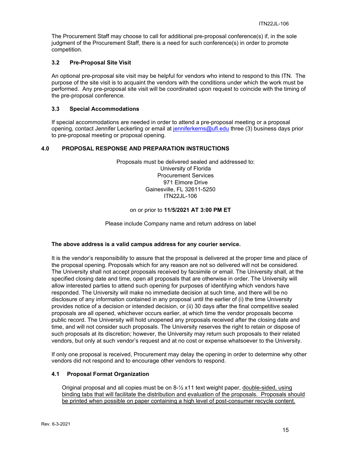The Procurement Staff may choose to call for additional pre-proposal conference(s) if, in the sole judgment of the Procurement Staff, there is a need for such conference(s) in order to promote competition.

## <span id="page-14-0"></span>**3.2 Pre-Proposal Site Visit**

An optional pre-proposal site visit may be helpful for vendors who intend to respond to this ITN. The purpose of the site visit is to acquaint the vendors with the conditions under which the work must be performed. Any pre-proposal site visit will be coordinated upon request to coincide with the timing of the pre-proposal conference.

## <span id="page-14-1"></span>**3.3 Special Accommodations**

If special accommodations are needed in order to attend a pre-proposal meeting or a proposal opening, contact Jennifer Leckerling or email at [jenniferkerns@ufl.edu](mailto:jenniferkerns@ufl.edu) three (3) business days prior to pre-proposal meeting or proposal opening.

## <span id="page-14-2"></span>**4.0 PROPOSAL RESPONSE AND PREPARATION INSTRUCTIONS**

Proposals must be delivered sealed and addressed to: University of Florida Procurement Services 971 Elmore Drive Gainesville, FL 32611-5250 ITN22JL-106

#### on or prior to **11/5/2021 AT 3:00 PM ET**

Please include Company name and return address on label

#### **The above address is a valid campus address for any courier service.**

It is the vendor's responsibility to assure that the proposal is delivered at the proper time and place of the proposal opening. Proposals which for any reason are not so delivered will not be considered. The University shall not accept proposals received by facsimile or email. The University shall, at the specified closing date and time, open all proposals that are otherwise in order. The University will allow interested parties to attend such opening for purposes of identifying which vendors have responded. The University will make no immediate decision at such time, and there will be no disclosure of any information contained in any proposal until the earlier of (i) the time University provides notice of a decision or intended decision, or (ii) 30 days after the final competitive sealed proposals are all opened, whichever occurs earlier, at which time the vendor proposals become public record. The University will hold unopened any proposals received after the closing date and time, and will not consider such proposals. The University reserves the right to retain or dispose of such proposals at its discretion; however, the University may return such proposals to their related vendors, but only at such vendor's request and at no cost or expense whatsoever to the University.

If only one proposal is received, Procurement may delay the opening in order to determine why other vendors did not respond and to encourage other vendors to respond.

#### <span id="page-14-3"></span>**4.1 Proposal Format Organization**

Original proposal and all copies must be on 8-½ x11 text weight paper, double-sided, using binding tabs that will facilitate the distribution and evaluation of the proposals. Proposals should be printed when possible on paper containing a high level of post-consumer recycle content.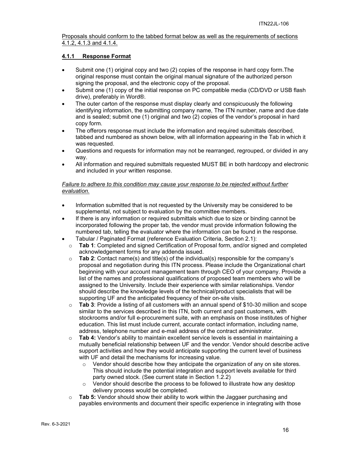Proposals should conform to the tabbed format below as well as the requirements of sections 4.1.2, 4.1.3 and 4.1.4.

## <span id="page-15-0"></span>**4.1.1 Response Format**

- Submit one (1) original copy and two (2) copies of the response in hard copy form.The original response must contain the original manual signature of the authorized person signing the proposal, and the electronic copy of the proposal.
- Submit one (1) copy of the initial response on PC compatible media (CD/DVD or USB flash drive), preferably in Word®.
- The outer carton of the response must display clearly and conspicuously the following identifying information, the submitting company name, The ITN number, name and due date and is sealed; submit one (1) original and two (2) copies of the vendor's proposal in hard copy form.
- The offerors response must include the information and required submittals described, tabbed and numbered as shown below, with all information appearing in the Tab in which it was requested.
- Questions and requests for information may not be rearranged, regrouped, or divided in any way.
- All information and required submittals requested MUST BE in both hardcopy and electronic and included in your written response.

## *Failure to adhere to this condition may cause your response to be rejected without further evaluation.*

- Information submitted that is not requested by the University may be considered to be supplemental, not subject to evaluation by the committee members.
- If there is any information or required submittals which due to size or binding cannot be incorporated following the proper tab, the vendor must provide information following the numbered tab, telling the evaluator where the information can be found in the response.
- Tabular / Paginated Format (reference Evaluation Criteria, Section 2.1):
	- o **Tab 1**: Completed and signed Certification of Proposal form, and/or signed and completed acknowledgement forms for any addenda issued.
	- o **Tab 2**: Contact name(s) and title(s) of the individual(s) responsible for the company's proposal and negotiation during this ITN process. Please include the Organizational chart beginning with your account management team through CEO of your company. Provide a list of the names and professional qualifications of proposed team members who will be assigned to the University. Include their experience with similar relationships. Vendor should describe the knowledge levels of the technical/product specialists that will be supporting UF and the anticipated frequency of their on-site visits.
	- o **Tab 3**: Provide a listing of all customers with an annual spend of \$10-30 million and scope similar to the services described in this ITN, both current and past customers, with stockrooms and/or full e-procurement suite, with an emphasis on those institutes of higher education. This list must include current, accurate contact information, including name, address, telephone number and e-mail address of the contract administrator.
	- o **Tab 4:** Vendor's ability to maintain excellent service levels is essential in maintaining a mutually beneficial relationship between UF and the vendor. Vendor should describe active support activities and how they would anticipate supporting the current level of business with UF and detail the mechanisms for increasing value.
		- $\circ$  Vendor should describe how they anticipate the organization of any on site stores. This should include the potential integration and support levels available for third party owned stock. (See current state in Section 1.2.2)
		- $\circ$  Vendor should describe the process to be followed to illustrate how any desktop delivery process would be completed.
	- o **Tab 5:** Vendor should show their ability to work within the Jaggaer purchasing and payables environments and document their specific experience in integrating with those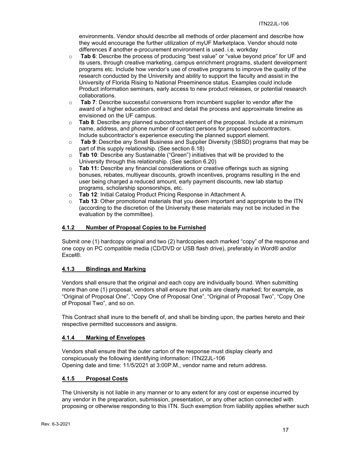environments. Vendor should describe all methods of order placement and describe how they would encourage the further utilization of myUF Marketplace. Vendor should note differences if another e-procurement environment is used. i.e. workday

- o **Tab 6**: Describe the process of producing "best value" or "value beyond price" for UF and its users, through creative marketing, campus enrichment programs, student development programs etc. Include how vendor's use of creative programs to improve the quality of the research conducted by the University and ability to support the faculty and assist in the University of Florida Rising to National Preeminence status. Examples could include Product information seminars, early access to new product releases, or potential research collaborations.
- o **Tab 7**: Describe successful conversions from incumbent supplier to vendor after the award of a higher education contract and detail the process and approximate timeline as envisioned on the UF campus.
- o **Tab 8**: Describe any planned subcontract element of the proposal. Include at a minimum name, address, and phone number of contact persons for proposed subcontractors. Include subcontractor's experience executing the planned support element.
- o **Tab 9**: Describe any Small Business and Supplier Diversity (SBSD) programs that may be part of this supply relationship. (See section 6.18)
- o **Tab 10**: Describe any Sustainable ("Green") initiatives that will be provided to the University through this relationship. (See section 6.20)
- o **Tab 11:** Describe any financial considerations or creative offerings such as signing bonuses, rebates, multiyear discounts, growth incentives, programs resulting in the end user being charged a reduced amount, early payment discounts, new lab startup programs, scholarship sponsorships, etc.
- o **Tab 12**: Initial Catalog Product Pricing Response in Attachment A.
- o **Tab 13**: Other promotional materials that you deem important and appropriate to the ITN (according to the discretion of the University these materials may not be included in the evaluation by the committee).

## <span id="page-16-0"></span>**4.1.2 Number of Proposal Copies to be Furnished**

Submit one (1) hardcopy original and two (2) hardcopies each marked "copy" of the response and one copy on PC compatible media (CD/DVD or USB flash drive), preferably in Word® and/or Excel®.

## <span id="page-16-1"></span>**4.1.3 Bindings and Marking**

Vendors shall ensure that the original and each copy are individually bound. When submitting more than one (1) proposal, vendors shall ensure that units are clearly marked; for example, as "Original of Proposal One", "Copy One of Proposal One", "Original of Proposal Two", "Copy One of Proposal Two", and so on.

This Contract shall inure to the benefit of, and shall be binding upon, the parties hereto and their respective permitted successors and assigns.

#### <span id="page-16-2"></span>**4.1.4 Marking of Envelopes**

Vendors shall ensure that the outer carton of the response must display clearly and conspicuously the following identifying information: ITN22JL-106 Opening date and time: 11/5/2021 at 3:00P.M., vendor name and return address.

#### <span id="page-16-3"></span>**4.1.5 Proposal Costs**

The University is not liable in any manner or to any extent for any cost or expense incurred by any vendor in the preparation, submission, presentation, or any other action connected with proposing or otherwise responding to this ITN. Such exemption from liability applies whether such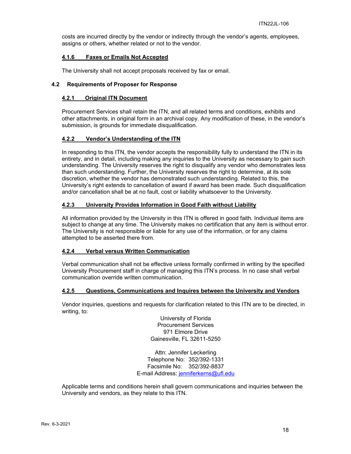costs are incurred directly by the vendor or indirectly through the vendor's agents, employees, assigns or others, whether related or not to the vendor.

#### <span id="page-17-0"></span>**4.1.6 Faxes or Emails Not Accepted**

The University shall not accept proposals received by fax or email.

## <span id="page-17-2"></span><span id="page-17-1"></span>**4.2 Requirements of Proposer for Response**

## **4.2.1 Original ITN Document**

Procurement Services shall retain the ITN, and all related terms and conditions, exhibits and other attachments, in original form in an archival copy. Any modification of these, in the vendor's submission, is grounds for immediate disqualification.

## <span id="page-17-3"></span>**4.2.2 Vendor's Understanding of the ITN**

In responding to this ITN, the vendor accepts the responsibility fully to understand the ITN in its entirety, and in detail, including making any inquiries to the University as necessary to gain such understanding. The University reserves the right to disqualify any vendor who demonstrates less than such understanding. Further, the University reserves the right to determine, at its sole discretion, whether the vendor has demonstrated such understanding. Related to this, the University's right extends to cancellation of award if award has been made. Such disqualification and/or cancellation shall be at no fault, cost or liability whatsoever to the University.

## <span id="page-17-4"></span>**4.2.3 University Provides Information in Good Faith without Liability**

All information provided by the University in this ITN is offered in good faith. Individual items are subject to change at any time. The University makes no certification that any item is without error. The University is not responsible or liable for any use of the information, or for any claims attempted to be asserted there from.

#### <span id="page-17-5"></span>**4.2.4 Verbal versus Written Communication**

Verbal communication shall not be effective unless formally confirmed in writing by the specified University Procurement staff in charge of managing this ITN's process. In no case shall verbal communication override written communication.

## <span id="page-17-6"></span>**4.2.5 Questions, Communications and Inquires between the University and Vendors**

Vendor inquiries, questions and requests for clarification related to this ITN are to be directed, in writing, to:

> University of Florida Procurement Services 971 Elmore Drive Gainesville, FL 32611-5250

Attn: Jennifer Leckerling Telephone No: 352/392-1331 Facsimile No: 352/392-8837 E-mail Address: [jenniferkerns@ufl.edu](mailto:jenniferkerns@ufl.edu)

Applicable terms and conditions herein shall govern communications and inquiries between the University and vendors, as they relate to this ITN.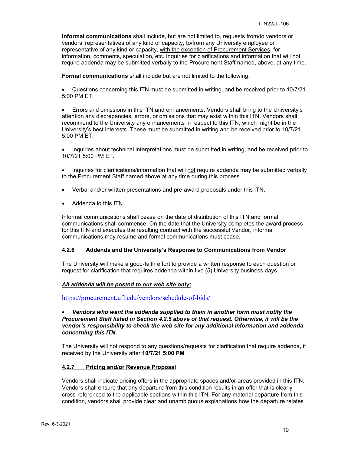**Informal communications** shall include, but are not limited to, requests from/to vendors or vendors' representatives of any kind or capacity, to/from any University employee or representative of any kind or capacity, with the exception of Procurement Services, for information, comments, speculation, etc. Inquiries for clarifications and information that will not require addenda may be submitted verbally to the Procurement Staff named, above, at any time.

**Formal communications** shall include but are not limited to the following.

• Questions concerning this ITN must be submitted in writing, and be received prior to 10/7/21 5:00 PM ET.

• Errors and omissions in this ITN and enhancements. Vendors shall bring to the University's attention any discrepancies, errors, or omissions that may exist within this ITN. Vendors shall recommend to the University any enhancements in respect to this ITN, which might be in the University's best interests. These must be submitted in writing and be received prior to 10/7/21 5:00 PM ET.

• Inquiries about technical interpretations must be submitted in writing, and be received prior to 10/7/21 5:00 PM ET.

• Inquiries for clarifications/information that will not require addenda may be submitted verbally to the Procurement Staff named above at any time during this process.

- Verbal and/or written presentations and pre-award proposals under this ITN.
- Addenda to this ITN.

Informal communications shall cease on the date of distribution of this ITN and formal communications shall commence. On the date that the University completes the award process for this ITN and executes the resulting contract with the successful Vendor, informal communications may resume and formal communications must cease.

#### <span id="page-18-0"></span>**4.2.6 Addenda and the University's Response to Communications from Vendor**

The University will make a good-faith effort to provide a written response to each question or request for clarification that requires addenda within five (5) University business days.

#### *All addenda will be posted to our web site only:*

<https://procurement.ufl.edu/vendors/schedule-of-bids/>

## • *Vendors who want the addenda supplied to them in another form must notify the Procurement Staff listed in Section 4.2.5 above of that request. Otherwise, it will be the vendor's responsibility to check the web site for any additional information and addenda concerning this ITN.*

The University will not respond to any questions/requests for clarification that require addenda, if received by the University after **10/7/21 5:00 PM**

#### <span id="page-18-1"></span>**4.2.7 Pricing and/or Revenue Proposal**

Vendors shall indicate pricing offers in the appropriate spaces and/or areas provided in this ITN. Vendors shall ensure that any departure from this condition results in an offer that is clearly cross-referenced to the applicable sections within this ITN. For any material departure from this condition, vendors shall provide clear and unambiguous explanations how the departure relates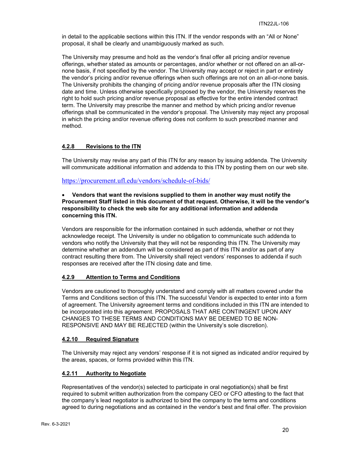in detail to the applicable sections within this ITN. If the vendor responds with an "All or None" proposal, it shall be clearly and unambiguously marked as such.

The University may presume and hold as the vendor's final offer all pricing and/or revenue offerings, whether stated as amounts or percentages, and/or whether or not offered on an all-ornone basis, if not specified by the vendor. The University may accept or reject in part or entirely the vendor's pricing and/or revenue offerings when such offerings are not on an all-or-none basis. The University prohibits the changing of pricing and/or revenue proposals after the ITN closing date and time. Unless otherwise specifically proposed by the vendor, the University reserves the right to hold such pricing and/or revenue proposal as effective for the entire intended contract term. The University may prescribe the manner and method by which pricing and/or revenue offerings shall be communicated in the vendor's proposal. The University may reject any proposal in which the pricing and/or revenue offering does not conform to such prescribed manner and method.

## <span id="page-19-0"></span>**4.2.8 Revisions to the ITN**

The University may revise any part of this ITN for any reason by issuing addenda. The University will communicate additional information and addenda to this ITN by posting them on our web site.

<https://procurement.ufl.edu/vendors/schedule-of-bids/>

## • **Vendors that want the revisions supplied to them in another way must notify the Procurement Staff listed in this document of that request. Otherwise, it will be the vendor's responsibility to check the web site for any additional information and addenda concerning this ITN.**

Vendors are responsible for the information contained in such addenda, whether or not they acknowledge receipt. The University is under no obligation to communicate such addenda to vendors who notify the University that they will not be responding this ITN. The University may determine whether an addendum will be considered as part of this ITN and/or as part of any contract resulting there from. The University shall reject vendors' responses to addenda if such responses are received after the ITN closing date and time.

## <span id="page-19-1"></span>**4.2.9 Attention to Terms and Conditions**

Vendors are cautioned to thoroughly understand and comply with all matters covered under the Terms and Conditions section of this ITN. The successful Vendor is expected to enter into a form of agreement. The University agreement terms and conditions included in this ITN are intended to be incorporated into this agreement. PROPOSALS THAT ARE CONTINGENT UPON ANY CHANGES TO THESE TERMS AND CONDITIONS MAY BE DEEMED TO BE NON-RESPONSIVE AND MAY BE REJECTED (within the University's sole discretion).

#### <span id="page-19-2"></span>**4.2.10 Required Signature**

The University may reject any vendors' response if it is not signed as indicated and/or required by the areas, spaces, or forms provided within this ITN.

#### <span id="page-19-3"></span>**4.2.11 Authority to Negotiate**

Representatives of the vendor(s) selected to participate in oral negotiation(s) shall be first required to submit written authorization from the company CEO or CFO attesting to the fact that the company's lead negotiator is authorized to bind the company to the terms and conditions agreed to during negotiations and as contained in the vendor's best and final offer. The provision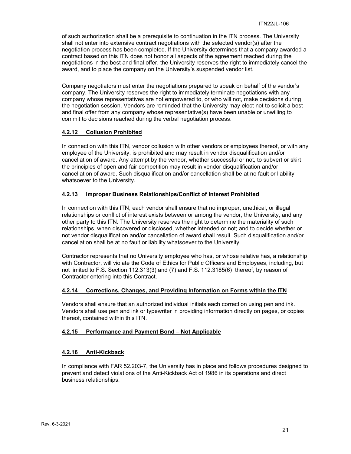of such authorization shall be a prerequisite to continuation in the ITN process. The University shall not enter into extensive contract negotiations with the selected vendor(s) after the negotiation process has been completed. If the University determines that a company awarded a contract based on this ITN does not honor all aspects of the agreement reached during the negotiations in the best and final offer, the University reserves the right to immediately cancel the award, and to place the company on the University's suspended vendor list.

Company negotiators must enter the negotiations prepared to speak on behalf of the vendor's company. The University reserves the right to immediately terminate negotiations with any company whose representatives are not empowered to, or who will not, make decisions during the negotiation session. Vendors are reminded that the University may elect not to solicit a best and final offer from any company whose representative(s) have been unable or unwilling to commit to decisions reached during the verbal negotiation process.

## <span id="page-20-0"></span>**4.2.12 Collusion Prohibited**

In connection with this ITN, vendor collusion with other vendors or employees thereof, or with any employee of the University, is prohibited and may result in vendor disqualification and/or cancellation of award. Any attempt by the vendor, whether successful or not, to subvert or skirt the principles of open and fair competition may result in vendor disqualification and/or cancellation of award. Such disqualification and/or cancellation shall be at no fault or liability whatsoever to the University.

## <span id="page-20-1"></span>**4.2.13 Improper Business Relationships/Conflict of Interest Prohibited**

In connection with this ITN, each vendor shall ensure that no improper, unethical, or illegal relationships or conflict of interest exists between or among the vendor, the University, and any other party to this ITN. The University reserves the right to determine the materiality of such relationships, when discovered or disclosed, whether intended or not; and to decide whether or not vendor disqualification and/or cancellation of award shall result. Such disqualification and/or cancellation shall be at no fault or liability whatsoever to the University.

Contractor represents that no University employee who has, or whose relative has, a relationship with Contractor, will violate the Code of Ethics for Public Officers and Employees, including, but not limited to F.S. Section 112.313(3) and (7) and F.S. 112.3185(6) thereof, by reason of Contractor entering into this Contract.

#### <span id="page-20-2"></span>**4.2.14 Corrections, Changes, and Providing Information on Forms within the ITN**

Vendors shall ensure that an authorized individual initials each correction using pen and ink. Vendors shall use pen and ink or typewriter in providing information directly on pages, or copies thereof, contained within this ITN.

#### <span id="page-20-3"></span>**4.2.15 Performance and Payment Bond – Not Applicable**

#### <span id="page-20-4"></span>**4.2.16 Anti-Kickback**

In compliance with FAR 52.203-7, the University has in place and follows procedures designed to prevent and detect violations of the Anti-Kickback Act of 1986 in its operations and direct business relationships.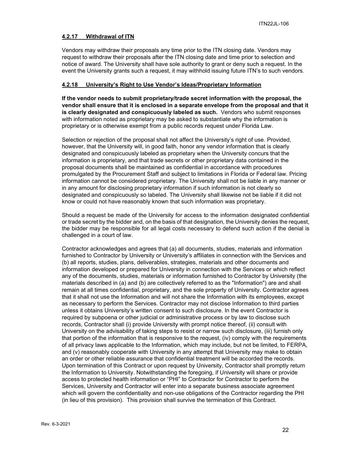## <span id="page-21-0"></span>**4.2.17 Withdrawal of ITN**

Vendors may withdraw their proposals any time prior to the ITN closing date. Vendors may request to withdraw their proposals after the ITN closing date and time prior to selection and notice of award. The University shall have sole authority to grant or deny such a request. In the event the University grants such a request, it may withhold issuing future ITN's to such vendors.

## <span id="page-21-1"></span>**4.2.18 University's Right to Use Vendor's Ideas/Proprietary Information**

**If the vendor needs to submit proprietary/trade secret information with the proposal, the vendor shall ensure that it is enclosed in a separate envelope from the proposal and that it is clearly designated and conspicuously labeled as such.** Vendors who submit responses with information noted as proprietary may be asked to substantiate why the information is proprietary or is otherwise exempt from a public records request under Florida Law.

Selection or rejection of the proposal shall not affect the University's right of use. Provided, however, that the University will, in good faith, honor any vendor information that is clearly designated and conspicuously labeled as proprietary when the University concurs that the information is proprietary, and that trade secrets or other proprietary data contained in the proposal documents shall be maintained as confidential in accordance with procedures promulgated by the Procurement Staff and subject to limitations in Florida or Federal law. Pricing information cannot be considered proprietary. The University shall not be liable in any manner or in any amount for disclosing proprietary information if such information is not clearly so designated and conspicuously so labeled. The University shall likewise not be liable if it did not know or could not have reasonably known that such information was proprietary.

Should a request be made of the University for access to the information designated confidential or trade secret by the bidder and, on the basis of that designation, the University denies the request, the bidder may be responsible for all legal costs necessary to defend such action if the denial is challenged in a court of law.

Contractor acknowledges and agrees that (a) all documents, studies, materials and information furnished to Contractor by University or University's affiliates in connection with the Services and (b) all reports, studies, plans, deliverables, strategies, materials and other documents and information developed or prepared for University in connection with the Services or which reflect any of the documents, studies, materials or information furnished to Contractor by University (the materials described in (a) and (b) are collectively referred to as the "Information") are and shall remain at all times confidential, proprietary, and the sole property of University. Contractor agrees that it shall not use the Information and will not share the Information with its employees, except as necessary to perform the Services. Contractor may not disclose Information to third parties unless it obtains University's written consent to such disclosure. In the event Contractor is required by subpoena or other judicial or administrative process or by law to disclose such records, Contractor shall (i) provide University with prompt notice thereof, (ii) consult with University on the advisability of taking steps to resist or narrow such disclosure, (iii) furnish only that portion of the information that is responsive to the request, (iv) comply with the requirements of all privacy laws applicable to the Information, which may include, but not be limited, to FERPA, and (v) reasonably cooperate with University in any attempt that University may make to obtain an order or other reliable assurance that confidential treatment will be accorded the records. Upon termination of this Contract or upon request by University, Contractor shall promptly return the Information to University. Notwithstanding the foregoing, if University will share or provide access to protected health information or "PHI" to Contractor for Contractor to perform the Services, University and Contractor will enter into a separate business associate agreement which will govern the confidentiality and non-use obligations of the Contractor regarding the PHI (in lieu of this provision). This provision shall survive the termination of this Contract.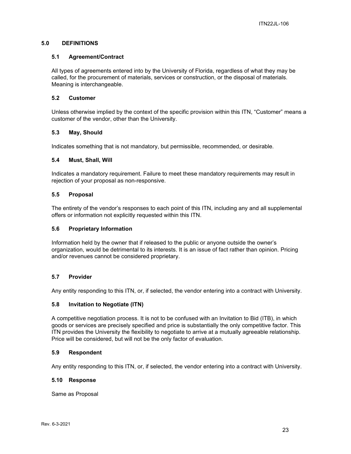## <span id="page-22-0"></span>**5.0 DEFINITIONS**

## <span id="page-22-1"></span>**5.1 Agreement/Contract**

All types of agreements entered into by the University of Florida, regardless of what they may be called, for the procurement of materials, services or construction, or the disposal of materials. Meaning is interchangeable.

## <span id="page-22-2"></span>**5.2 Customer**

Unless otherwise implied by the context of the specific provision within this ITN, "Customer" means a customer of the vendor, other than the University.

## <span id="page-22-3"></span>**5.3 May, Should**

Indicates something that is not mandatory, but permissible, recommended, or desirable.

#### <span id="page-22-4"></span>**5.4 Must, Shall, Will**

Indicates a mandatory requirement. Failure to meet these mandatory requirements may result in rejection of your proposal as non-responsive.

## <span id="page-22-5"></span>**5.5 Proposal**

The entirety of the vendor's responses to each point of this ITN, including any and all supplemental offers or information not explicitly requested within this ITN.

#### <span id="page-22-6"></span>**5.6 Proprietary Information**

Information held by the owner that if released to the public or anyone outside the owner's organization, would be detrimental to its interests. It is an issue of fact rather than opinion. Pricing and/or revenues cannot be considered proprietary.

## <span id="page-22-7"></span>**5.7 Provider**

Any entity responding to this ITN, or, if selected, the vendor entering into a contract with University.

#### <span id="page-22-8"></span>**5.8 Invitation to Negotiate (ITN)**

A competitive negotiation process. It is not to be confused with an Invitation to Bid (ITB), in which goods or services are precisely specified and price is substantially the only competitive factor. This ITN provides the University the flexibility to negotiate to arrive at a mutually agreeable relationship. Price will be considered, but will not be the only factor of evaluation.

#### <span id="page-22-9"></span>**5.9 Respondent**

Any entity responding to this ITN, or, if selected, the vendor entering into a contract with University.

#### <span id="page-22-10"></span>**5.10 Response**

Same as Proposal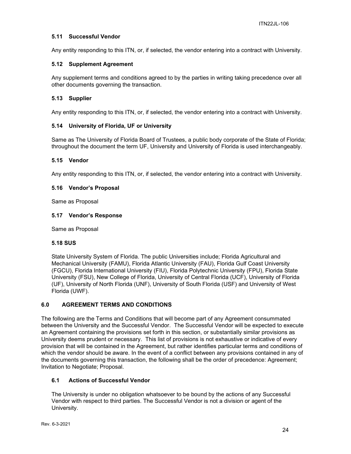## <span id="page-23-0"></span>**5.11 Successful Vendor**

Any entity responding to this ITN, or, if selected, the vendor entering into a contract with University.

## <span id="page-23-1"></span>**5.12 Supplement Agreement**

Any supplement terms and conditions agreed to by the parties in writing taking precedence over all other documents governing the transaction.

## <span id="page-23-2"></span>**5.13 Supplier**

Any entity responding to this ITN, or, if selected, the vendor entering into a contract with University.

## <span id="page-23-3"></span>**5.14 University of Florida, UF or University**

Same as The University of Florida Board of Trustees, a public body corporate of the State of Florida; throughout the document the term UF, University and University of Florida is used interchangeably.

#### <span id="page-23-4"></span>**5.15 Vendor**

Any entity responding to this ITN, or, if selected, the vendor entering into a contract with University.

#### <span id="page-23-5"></span>**5.16 Vendor's Proposal**

Same as Proposal

#### <span id="page-23-6"></span>**5.17 Vendor's Response**

Same as Proposal

#### **5.18 SUS**

State University System of Florida. The public Universities include; Florida Agricultural and Mechanical University (FAMU), Florida Atlantic University (FAU), Florida Gulf Coast University (FGCU), Florida International University (FIU), Florida Polytechnic University (FPU), Florida State University (FSU), New College of Florida, University of Central Florida (UCF), University of Florida (UF), University of North Florida (UNF), University of South Florida (USF) and University of West Florida (UWF).

#### <span id="page-23-7"></span>**6.0 AGREEMENT TERMS AND CONDITIONS**

The following are the Terms and Conditions that will become part of any Agreement consummated between the University and the Successful Vendor. The Successful Vendor will be expected to execute an Agreement containing the provisions set forth in this section, or substantially similar provisions as University deems prudent or necessary. This list of provisions is not exhaustive or indicative of every provision that will be contained in the Agreement, but rather identifies particular terms and conditions of which the vendor should be aware. In the event of a conflict between any provisions contained in any of the documents governing this transaction, the following shall be the order of precedence: Agreement; Invitation to Negotiate; Proposal.

#### <span id="page-23-8"></span>**6.1 Actions of Successful Vendor**

The University is under no obligation whatsoever to be bound by the actions of any Successful Vendor with respect to third parties. The Successful Vendor is not a division or agent of the University.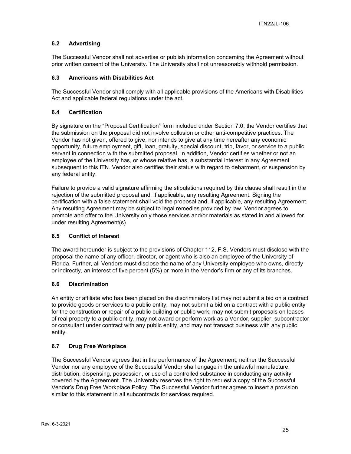## <span id="page-24-0"></span>**6.2 Advertising**

The Successful Vendor shall not advertise or publish information concerning the Agreement without prior written consent of the University. The University shall not unreasonably withhold permission.

## <span id="page-24-1"></span>**6.3 Americans with Disabilities Act**

The Successful Vendor shall comply with all applicable provisions of the Americans with Disabilities Act and applicable federal regulations under the act.

## <span id="page-24-2"></span>**6.4 Certification**

By signature on the "Proposal Certification" form included under Section 7.0, the Vendor certifies that the submission on the proposal did not involve collusion or other anti-competitive practices. The Vendor has not given, offered to give, nor intends to give at any time hereafter any economic opportunity, future employment, gift, loan, gratuity, special discount, trip, favor, or service to a public servant in connection with the submitted proposal. In addition, Vendor certifies whether or not an employee of the University has, or whose relative has, a substantial interest in any Agreement subsequent to this ITN. Vendor also certifies their status with regard to debarment, or suspension by any federal entity.

Failure to provide a valid signature affirming the stipulations required by this clause shall result in the rejection of the submitted proposal and, if applicable, any resulting Agreement. Signing the certification with a false statement shall void the proposal and, if applicable, any resulting Agreement. Any resulting Agreement may be subject to legal remedies provided by law. Vendor agrees to promote and offer to the University only those services and/or materials as stated in and allowed for under resulting Agreement(s).

## <span id="page-24-3"></span>**6.5 Conflict of Interest**

The award hereunder is subject to the provisions of Chapter 112, F.S. Vendors must disclose with the proposal the name of any officer, director, or agent who is also an employee of the University of Florida. Further, all Vendors must disclose the name of any University employee who owns, directly or indirectly, an interest of five percent (5%) or more in the Vendor's firm or any of its branches.

## <span id="page-24-4"></span>**6.6 Discrimination**

An entity or affiliate who has been placed on the discriminatory list may not submit a bid on a contract to provide goods or services to a public entity, may not submit a bid on a contract with a public entity for the construction or repair of a public building or public work, may not submit proposals on leases of real property to a public entity, may not award or perform work as a Vendor, supplier, subcontractor or consultant under contract with any public entity, and may not transact business with any public entity.

## <span id="page-24-5"></span>**6.7 Drug Free Workplace**

The Successful Vendor agrees that in the performance of the Agreement, neither the Successful Vendor nor any employee of the Successful Vendor shall engage in the unlawful manufacture, distribution, dispensing, possession, or use of a controlled substance in conducting any activity covered by the Agreement. The University reserves the right to request a copy of the Successful Vendor's Drug Free Workplace Policy. The Successful Vendor further agrees to insert a provision similar to this statement in all subcontracts for services required.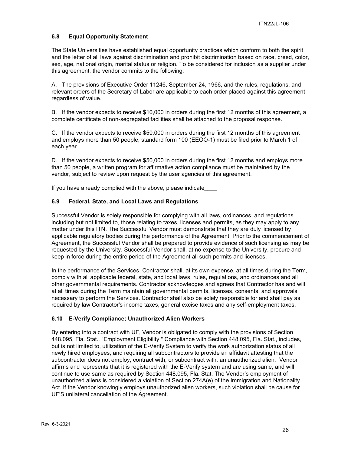## <span id="page-25-0"></span>**6.8 Equal Opportunity Statement**

The State Universities have established equal opportunity practices which conform to both the spirit and the letter of all laws against discrimination and prohibit discrimination based on race, creed, color, sex, age, national origin, marital status or religion. To be considered for inclusion as a supplier under this agreement, the vendor commits to the following:

A. The provisions of Executive Order 11246, September 24, 1966, and the rules, regulations, and relevant orders of the Secretary of Labor are applicable to each order placed against this agreement regardless of value.

B. If the vendor expects to receive \$10,000 in orders during the first 12 months of this agreement, a complete certificate of non-segregated facilities shall be attached to the proposal response.

C. If the vendor expects to receive \$50,000 in orders during the first 12 months of this agreement and employs more than 50 people, standard form 100 (EEOO-1) must be filed prior to March 1 of each year.

D. If the vendor expects to receive \$50,000 in orders during the first 12 months and employs more than 50 people, a written program for affirmative action compliance must be maintained by the vendor, subject to review upon request by the user agencies of this agreement.

If you have already complied with the above, please indicate

## <span id="page-25-1"></span>**6.9 Federal, State, and Local Laws and Regulations**

Successful Vendor is solely responsible for complying with all laws, ordinances, and regulations including but not limited to, those relating to taxes, licenses and permits, as they may apply to any matter under this ITN. The Successful Vendor must demonstrate that they are duly licensed by applicable regulatory bodies during the performance of the Agreement. Prior to the commencement of Agreement, the Successful Vendor shall be prepared to provide evidence of such licensing as may be requested by the University. Successful Vendor shall, at no expense to the University, procure and keep in force during the entire period of the Agreement all such permits and licenses.

In the performance of the Services, Contractor shall, at its own expense, at all times during the Term, comply with all applicable federal, state, and local laws, rules, regulations, and ordinances and all other governmental requirements. Contractor acknowledges and agrees that Contractor has and will at all times during the Term maintain all governmental permits, licenses, consents, and approvals necessary to perform the Services. Contractor shall also be solely responsible for and shall pay as required by law Contractor's income taxes, general excise taxes and any self-employment taxes.

#### <span id="page-25-2"></span>**6.10 E-Verify Compliance; Unauthorized Alien Workers**

By entering into a contract with UF, Vendor is obligated to comply with the provisions of Section 448.095, Fla. Stat., "Employment Eligibility." Compliance with Section 448.095, Fla. Stat., includes, but is not limited to, utilization of the E-Verify System to verify the work authorization status of all newly hired employees, and requiring all subcontractors to provide an affidavit attesting that the subcontractor does not employ, contract with, or subcontract with, an unauthorized alien. Vendor affirms and represents that it is registered with the E-Verify system and are using same, and will continue to use same as required by Section 448.095, Fla. Stat. The Vendor's employment of unauthorized aliens is considered a violation of Section 274A(e) of the Immigration and Nationality Act. If the Vendor knowingly employs unauthorized alien workers, such violation shall be cause for UF'S unilateral cancellation of the Agreement.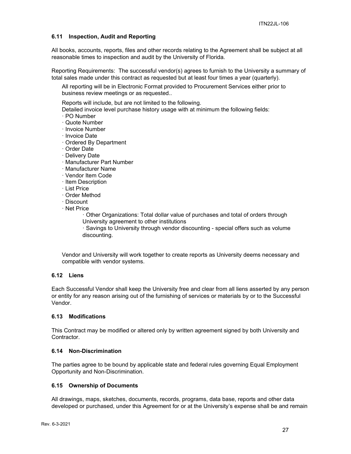## <span id="page-26-0"></span>**6.11 Inspection, Audit and Reporting**

All books, accounts, reports, files and other records relating to the Agreement shall be subject at all reasonable times to inspection and audit by the University of Florida.

Reporting Requirements: The successful vendor(s) agrees to furnish to the University a summary of total sales made under this contract as requested but at least four times a year (quarterly).

All reporting will be in Electronic Format provided to Procurement Services either prior to business review meetings or as requested..

Reports will include, but are not limited to the following.

Detailed invoice level purchase history usage with at minimum the following fields:

- · PO Number
- · Quote Number
- · Invoice Number
- · Invoice Date
- · Ordered By Department
- · Order Date
- · Delivery Date
- · Manufacturer Part Number
- · Manufacturer Name
- · Vendor Item Code
- · Item Description
- · List Price
- · Order Method
- · Discount
- · Net Price

· Other Organizations: Total dollar value of purchases and total of orders through University agreement to other institutions

· Savings to University through vendor discounting - special offers such as volume discounting.

Vendor and University will work together to create reports as University deems necessary and compatible with vendor systems.

## <span id="page-26-1"></span>**6.12 Liens**

Each Successful Vendor shall keep the University free and clear from all liens asserted by any person or entity for any reason arising out of the furnishing of services or materials by or to the Successful Vendor.

#### <span id="page-26-2"></span>**6.13 Modifications**

This Contract may be modified or altered only by written agreement signed by both University and Contractor.

#### <span id="page-26-3"></span>**6.14 Non-Discrimination**

The parties agree to be bound by applicable state and federal rules governing Equal Employment Opportunity and Non-Discrimination.

#### <span id="page-26-4"></span>**6.15 Ownership of Documents**

All drawings, maps, sketches, documents, records, programs, data base, reports and other data developed or purchased, under this Agreement for or at the University's expense shall be and remain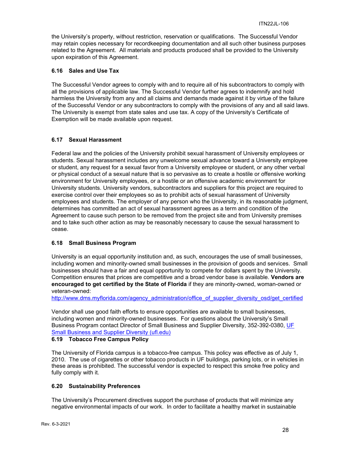the University's property, without restriction, reservation or qualifications. The Successful Vendor may retain copies necessary for recordkeeping documentation and all such other business purposes related to the Agreement. All materials and products produced shall be provided to the University upon expiration of this Agreement.

#### <span id="page-27-0"></span>**6.16 Sales and Use Tax**

The Successful Vendor agrees to comply with and to require all of his subcontractors to comply with all the provisions of applicable law. The Successful Vendor further agrees to indemnify and hold harmless the University from any and all claims and demands made against it by virtue of the failure of the Successful Vendor or any subcontractors to comply with the provisions of any and all said laws. The University is exempt from state sales and use tax. A copy of the University's Certificate of Exemption will be made available upon request.

## <span id="page-27-1"></span>**6.17 Sexual Harassment**

Federal law and the policies of the University prohibit sexual harassment of University employees or students. Sexual harassment includes any unwelcome sexual advance toward a University employee or student, any request for a sexual favor from a University employee or student, or any other verbal or physical conduct of a sexual nature that is so pervasive as to create a hostile or offensive working environment for University employees, or a hostile or an offensive academic environment for University students. University vendors, subcontractors and suppliers for this project are required to exercise control over their employees so as to prohibit acts of sexual harassment of University employees and students. The employer of any person who the University, in its reasonable judgment, determines has committed an act of sexual harassment agrees as a term and condition of the Agreement to cause such person to be removed from the project site and from University premises and to take such other action as may be reasonably necessary to cause the sexual harassment to cease.

## <span id="page-27-2"></span>**6.18 Small Business Program**

University is an equal opportunity institution and, as such, encourages the use of small businesses, including women and minority-owned small businesses in the provision of goods and services. Small businesses should have a fair and equal opportunity to compete for dollars spent by the University. Competition ensures that prices are competitive and a broad vendor base is available. **Vendors are encouraged to get certified by the State of Florida** if they are minority-owned, woman-owned or veteran-owned:

[http://www.dms.myflorida.com/agency\\_administration/office\\_of\\_supplier\\_diversity\\_osd/get\\_certified](http://www.dms.myflorida.com/agency_administration/office_of_supplier_diversity_osd/get_certified)

Vendor shall use good faith efforts to ensure opportunities are available to small businesses, including women and minority-owned businesses. For questions about the University's Small Business Program contact Director of Small Business and Supplier Diversity, 352-392-0380, [UF](https://sbsd.admin.ufl.edu/)  [Small Business and Supplier Diversity \(ufl.edu\)](https://sbsd.admin.ufl.edu/)

#### <span id="page-27-3"></span>**6.19 Tobacco Free Campus Policy**

The University of Florida campus is a tobacco-free campus. This policy was effective as of July 1, 2010. The use of cigarettes or other tobacco products in UF buildings, parking lots, or in vehicles in these areas is prohibited. The successful vendor is expected to respect this smoke free policy and fully comply with it.

#### <span id="page-27-4"></span>**6.20 Sustainability Preferences**

The University's Procurement directives support the purchase of products that will minimize any negative environmental impacts of our work. In order to facilitate a healthy market in sustainable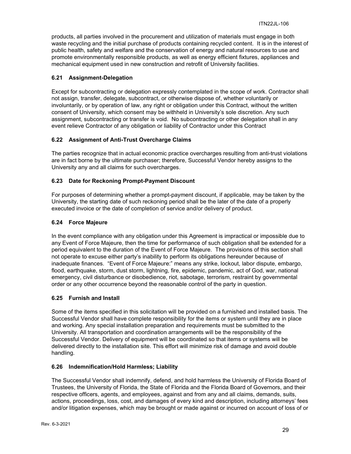products, all parties involved in the procurement and utilization of materials must engage in both waste recycling and the initial purchase of products containing recycled content. It is in the interest of public health, safety and welfare and the conservation of energy and natural resources to use and promote environmentally responsible products, as well as energy efficient fixtures, appliances and mechanical equipment used in new construction and retrofit of University facilities.

## <span id="page-28-0"></span>**6.21 Assignment-Delegation**

Except for subcontracting or delegation expressly contemplated in the scope of work. Contractor shall not assign, transfer, delegate, subcontract, or otherwise dispose of, whether voluntarily or involuntarily, or by operation of law, any right or obligation under this Contract, without the written consent of University, which consent may be withheld in University's sole discretion. Any such assignment, subcontracting or transfer is void. No subcontracting or other delegation shall in any event relieve Contractor of any obligation or liability of Contractor under this Contract

## <span id="page-28-1"></span>**6.22 Assignment of Anti-Trust Overcharge Claims**

The parties recognize that in actual economic practice overcharges resulting from anti-trust violations are in fact borne by the ultimate purchaser; therefore, Successful Vendor hereby assigns to the University any and all claims for such overcharges.

## <span id="page-28-2"></span>**6.23 Date for Reckoning Prompt-Payment Discount**

For purposes of determining whether a prompt-payment discount, if applicable, may be taken by the University, the starting date of such reckoning period shall be the later of the date of a properly executed invoice or the date of completion of service and/or delivery of product.

## <span id="page-28-3"></span>**6.24 Force Majeure**

In the event compliance with any obligation under this Agreement is impractical or impossible due to any Event of Force Majeure, then the time for performance of such obligation shall be extended for a period equivalent to the duration of the Event of Force Majeure. The provisions of this section shall not operate to excuse either party's inability to perform its obligations hereunder because of inadequate finances. "Event of Force Majeure:" means any strike, lockout, labor dispute, embargo, flood, earthquake, storm, dust storm, lightning, fire, epidemic, pandemic, act of God, war, national emergency, civil disturbance or disobedience, riot, sabotage, terrorism, restraint by governmental order or any other occurrence beyond the reasonable control of the party in question.

#### <span id="page-28-4"></span>**6.25 Furnish and Install**

Some of the items specified in this solicitation will be provided on a furnished and installed basis. The Successful Vendor shall have complete responsibility for the items or system until they are in place and working. Any special installation preparation and requirements must be submitted to the University. All transportation and coordination arrangements will be the responsibility of the Successful Vendor. Delivery of equipment will be coordinated so that items or systems will be delivered directly to the installation site. This effort will minimize risk of damage and avoid double handling.

#### <span id="page-28-5"></span>**6.26 Indemnification/Hold Harmless; Liability**

The Successful Vendor shall indemnify, defend, and hold harmless the University of Florida Board of Trustees, the University of Florida, the State of Florida and the Florida Board of Governors, and their respective officers, agents, and employees, against and from any and all claims, demands, suits, actions, proceedings, loss, cost, and damages of every kind and description, including attorneys' fees and/or litigation expenses, which may be brought or made against or incurred on account of loss of or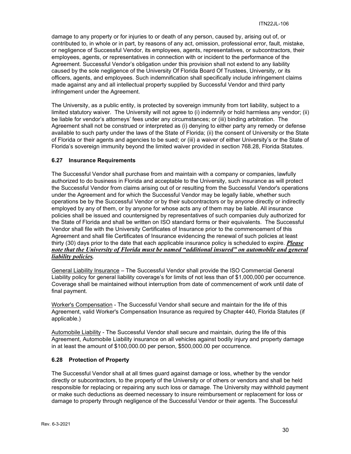damage to any property or for injuries to or death of any person, caused by, arising out of, or contributed to, in whole or in part, by reasons of any act, omission, professional error, fault, mistake, or negligence of Successful Vendor, its employees, agents, representatives, or subcontractors, their employees, agents, or representatives in connection with or incident to the performance of the Agreement. Successful Vendor's obligation under this provision shall not extend to any liability caused by the sole negligence of the University Of Florida Board Of Trustees, University, or its officers, agents, and employees. Such indemnification shall specifically include infringement claims made against any and all intellectual property supplied by Successful Vendor and third party infringement under the Agreement.

The University, as a public entity, is protected by sovereign immunity from tort liability, subject to a limited statutory waiver. The University will not agree to (i) indemnify or hold harmless any vendor; (ii) be liable for vendor's attorneys' fees under any circumstances; or (iii) binding arbitration. The Agreement shall not be construed or interpreted as (i) denying to either party any remedy or defense available to such party under the laws of the State of Florida; (ii) the consent of University or the State of Florida or their agents and agencies to be sued; or (iii) a waiver of either University's or the State of Florida's sovereign immunity beyond the limited waiver provided in section 768.28, Florida Statutes.

## <span id="page-29-0"></span>**6.27 Insurance Requirements**

The Successful Vendor shall purchase from and maintain with a company or companies, lawfully authorized to do business in Florida and acceptable to the University, such insurance as will protect the Successful Vendor from claims arising out of or resulting from the Successful Vendor's operations under the Agreement and for which the Successful Vendor may be legally liable, whether such operations be by the Successful Vendor or by their subcontractors or by anyone directly or indirectly employed by any of them, or by anyone for whose acts any of them may be liable. All insurance policies shall be issued and countersigned by representatives of such companies duly authorized for the State of Florida and shall be written on ISO standard forms or their equivalents. The Successful Vendor shall file with the University Certificates of Insurance prior to the commencement of this Agreement and shall file Certificates of Insurance evidencing the renewal of such policies at least thirty (30) days prior to the date that each applicable insurance policy is scheduled to expire. *Please note that the University of Florida must be named "additional insured" on automobile and general liability policies.*

General Liability Insurance – The Successful Vendor shall provide the ISO Commercial General Liability policy for general liability coverage's for limits of not less than of \$1,000,000 per occurrence. Coverage shall be maintained without interruption from date of commencement of work until date of final payment.

Worker's Compensation - The Successful Vendor shall secure and maintain for the life of this Agreement, valid Worker's Compensation Insurance as required by Chapter 440, Florida Statutes (if applicable.)

Automobile Liability - The Successful Vendor shall secure and maintain, during the life of this Agreement, Automobile Liability insurance on all vehicles against bodily injury and property damage in at least the amount of \$100,000.00 per person, \$500,000.00 per occurrence.

#### <span id="page-29-1"></span>**6.28 Protection of Property**

The Successful Vendor shall at all times guard against damage or loss, whether by the vendor directly or subcontractors, to the property of the University or of others or vendors and shall be held responsible for replacing or repairing any such loss or damage. The University may withhold payment or make such deductions as deemed necessary to insure reimbursement or replacement for loss or damage to property through negligence of the Successful Vendor or their agents. The Successful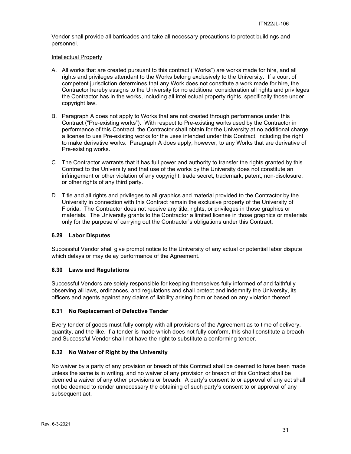Vendor shall provide all barricades and take all necessary precautions to protect buildings and personnel.

#### Intellectual Property

- A. All works that are created pursuant to this contract ("Works") are works made for hire, and all rights and privileges attendant to the Works belong exclusively to the University. If a court of competent jurisdiction determines that any Work does not constitute a work made for hire, the Contractor hereby assigns to the University for no additional consideration all rights and privileges the Contractor has in the works, including all intellectual property rights, specifically those under copyright law.
- B. Paragraph A does not apply to Works that are not created through performance under this Contract ("Pre-existing works"). With respect to Pre-existing works used by the Contractor in performance of this Contract, the Contractor shall obtain for the University at no additional charge a license to use Pre-existing works for the uses intended under this Contract, including the right to make derivative works. Paragraph A does apply, however, to any Works that are derivative of Pre-existing works.
- C. The Contractor warrants that it has full power and authority to transfer the rights granted by this Contract to the University and that use of the works by the University does not constitute an infringement or other violation of any copyright, trade secret, trademark, patent, non-disclosure, or other rights of any third party.
- D. Title and all rights and privileges to all graphics and material provided to the Contractor by the University in connection with this Contract remain the exclusive property of the University of Florida. The Contractor does not receive any title, rights, or privileges in those graphics or materials. The University grants to the Contractor a limited license in those graphics or materials only for the purpose of carrying out the Contractor's obligations under this Contract.

#### <span id="page-30-0"></span>**6.29 Labor Disputes**

Successful Vendor shall give prompt notice to the University of any actual or potential labor dispute which delays or may delay performance of the Agreement.

#### <span id="page-30-1"></span>**6.30 Laws and Regulations**

Successful Vendors are solely responsible for keeping themselves fully informed of and faithfully observing all laws, ordinances, and regulations and shall protect and indemnify the University, its officers and agents against any claims of liability arising from or based on any violation thereof.

#### <span id="page-30-2"></span>**6.31 No Replacement of Defective Tender**

Every tender of goods must fully comply with all provisions of the Agreement as to time of delivery, quantity, and the like. If a tender is made which does not fully conform, this shall constitute a breach and Successful Vendor shall not have the right to substitute a conforming tender.

#### <span id="page-30-3"></span>**6.32 No Waiver of Right by the University**

No waiver by a party of any provision or breach of this Contract shall be deemed to have been made unless the same is in writing, and no waiver of any provision or breach of this Contract shall be deemed a waiver of any other provisions or breach. A party's consent to or approval of any act shall not be deemed to render unnecessary the obtaining of such party's consent to or approval of any subsequent act.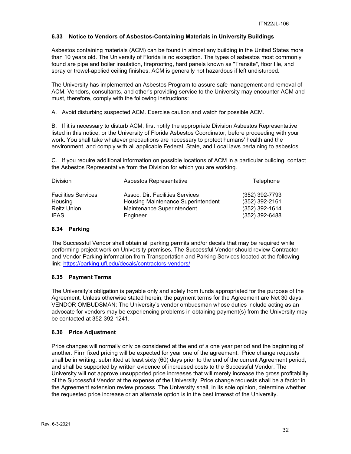## <span id="page-31-0"></span>**6.33 Notice to Vendors of Asbestos-Containing Materials in University Buildings**

Asbestos containing materials (ACM) can be found in almost any building in the United States more than 10 years old. The University of Florida is no exception. The types of asbestos most commonly found are pipe and boiler insulation, fireproofing, hard panels known as "Transite", floor tile, and spray or trowel-applied ceiling finishes. ACM is generally not hazardous if left undisturbed.

The University has implemented an Asbestos Program to assure safe management and removal of ACM. Vendors, consultants, and other's providing service to the University may encounter ACM and must, therefore, comply with the following instructions:

A. Avoid disturbing suspected ACM. Exercise caution and watch for possible ACM.

B. If it is necessary to disturb ACM, first notify the appropriate Division Asbestos Representative listed in this notice, or the University of Florida Asbestos Coordinator, before proceeding with your work. You shall take whatever precautions are necessary to protect humans' health and the environment, and comply with all applicable Federal, State, and Local laws pertaining to asbestos.

C. If you require additional information on possible locations of ACM in a particular building, contact the Asbestos Representative from the Division for which you are working.

| Division                   | Asbestos Representative            | Telephone        |
|----------------------------|------------------------------------|------------------|
| <b>Facilities Services</b> | Assoc. Dir. Facilities Services    | (352) 392-7793   |
| Housing                    | Housing Maintenance Superintendent | (352) 392-2161   |
| <b>Reitz Union</b>         | Maintenance Superintendent         | $(352)$ 392-1614 |
| <b>IFAS</b>                | Engineer                           | $(352)$ 392-6488 |

## <span id="page-31-1"></span>**6.34 Parking**

The Successful Vendor shall obtain all parking permits and/or decals that may be required while performing project work on University premises. The Successful Vendor should review Contractor and Vendor Parking information from Transportation and Parking Services located at the following link:<https://parking.ufl.edu/decals/contractors-vendors/>

## <span id="page-31-2"></span>**6.35 Payment Terms**

The University's obligation is payable only and solely from funds appropriated for the purpose of the Agreement. Unless otherwise stated herein, the payment terms for the Agreement are Net 30 days. VENDOR OMBUDSMAN: The University's vendor ombudsman whose duties include acting as an advocate for vendors may be experiencing problems in obtaining payment(s) from the University may be contacted at 352-392-1241.

#### <span id="page-31-3"></span>**6.36 Price Adjustment**

Price changes will normally only be considered at the end of a one year period and the beginning of another. Firm fixed pricing will be expected for year one of the agreement. Price change requests shall be in writing, submitted at least sixty (60) days prior to the end of the current Agreement period, and shall be supported by written evidence of increased costs to the Successful Vendor. The University will not approve unsupported price increases that will merely increase the gross profitability of the Successful Vendor at the expense of the University. Price change requests shall be a factor in the Agreement extension review process. The University shall, in its sole opinion, determine whether the requested price increase or an alternate option is in the best interest of the University.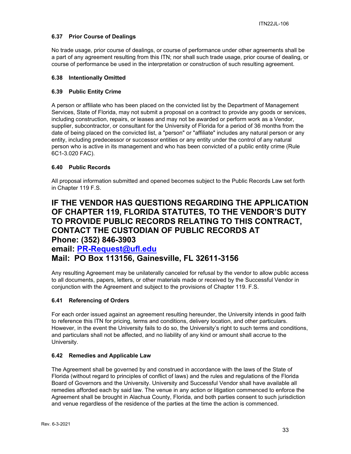## <span id="page-32-0"></span>**6.37 Prior Course of Dealings**

No trade usage, prior course of dealings, or course of performance under other agreements shall be a part of any agreement resulting from this ITN; nor shall such trade usage, prior course of dealing, or course of performance be used in the interpretation or construction of such resulting agreement.

## <span id="page-32-1"></span>**6.38 Intentionally Omitted**

## <span id="page-32-2"></span>**6.39 Public Entity Crime**

A person or affiliate who has been placed on the convicted list by the Department of Management Services, State of Florida, may not submit a proposal on a contract to provide any goods or services, including construction, repairs, or leases and may not be awarded or perform work as a Vendor, supplier, subcontractor, or consultant for the University of Florida for a period of 36 months from the date of being placed on the convicted list, a "person" or "affiliate" includes any natural person or any entity, including predecessor or successor entities or any entity under the control of any natural person who is active in its management and who has been convicted of a public entity crime (Rule 6C1-3.020 FAC).

## <span id="page-32-3"></span>**6.40 Public Records**

All proposal information submitted and opened becomes subject to the Public Records Law set forth in Chapter 119 F.S.

## **IF THE VENDOR HAS QUESTIONS REGARDING THE APPLICATION OF CHAPTER 119, FLORIDA STATUTES, TO THE VENDOR'S DUTY TO PROVIDE PUBLIC RECORDS RELATING TO THIS CONTRACT, CONTACT THE CUSTODIAN OF PUBLIC RECORDS AT Phone: (352) 846-3903**

**email: [PR-Request@ufl.edu](mailto:PR-Request@ufl.edu) Mail: PO Box 113156, Gainesville, FL 32611-3156**

Any resulting Agreement may be unilaterally canceled for refusal by the vendor to allow public access to all documents, papers, letters, or other materials made or received by the Successful Vendor in conjunction with the Agreement and subject to the provisions of Chapter 119. F.S.

## <span id="page-32-4"></span>**6.41 Referencing of Orders**

For each order issued against an agreement resulting hereunder, the University intends in good faith to reference this ITN for pricing, terms and conditions, delivery location, and other particulars. However, in the event the University fails to do so, the University's right to such terms and conditions, and particulars shall not be affected, and no liability of any kind or amount shall accrue to the University.

#### <span id="page-32-5"></span>**6.42 Remedies and Applicable Law**

The Agreement shall be governed by and construed in accordance with the laws of the State of Florida (without regard to principles of conflict of laws) and the rules and regulations of the Florida Board of Governors and the University. University and Successful Vendor shall have available all remedies afforded each by said law. The venue in any action or litigation commenced to enforce the Agreement shall be brought in Alachua County, Florida, and both parties consent to such jurisdiction and venue regardless of the residence of the parties at the time the action is commenced.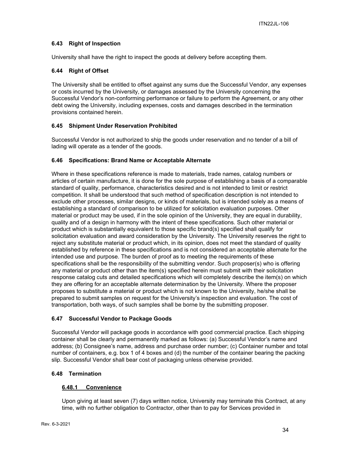## <span id="page-33-0"></span>**6.43 Right of Inspection**

University shall have the right to inspect the goods at delivery before accepting them.

## <span id="page-33-1"></span>**6.44 Right of Offset**

The University shall be entitled to offset against any sums due the Successful Vendor, any expenses or costs incurred by the University, or damages assessed by the University concerning the Successful Vendor's non-conforming performance or failure to perform the Agreement, or any other debt owing the University, including expenses, costs and damages described in the termination provisions contained herein.

## <span id="page-33-2"></span>**6.45 Shipment Under Reservation Prohibited**

Successful Vendor is not authorized to ship the goods under reservation and no tender of a bill of lading will operate as a tender of the goods.

## <span id="page-33-3"></span>**6.46 Specifications: Brand Name or Acceptable Alternate**

Where in these specifications reference is made to materials, trade names, catalog numbers or articles of certain manufacture, it is done for the sole purpose of establishing a basis of a comparable standard of quality, performance, characteristics desired and is not intended to limit or restrict competition. It shall be understood that such method of specification description is not intended to exclude other processes, similar designs, or kinds of materials, but is intended solely as a means of establishing a standard of comparison to be utilized for solicitation evaluation purposes. Other material or product may be used, if in the sole opinion of the University, they are equal in durability, quality and of a design in harmony with the intent of these specifications. Such other material or product which is substantially equivalent to those specific brand(s) specified shall qualify for solicitation evaluation and award consideration by the University. The University reserves the right to reject any substitute material or product which, in its opinion, does not meet the standard of quality established by reference in these specifications and is not considered an acceptable alternate for the intended use and purpose. The burden of proof as to meeting the requirements of these specifications shall be the responsibility of the submitting vendor. Such proposer(s) who is offering any material or product other than the item(s) specified herein must submit with their solicitation response catalog cuts and detailed specifications which will completely describe the item(s) on which they are offering for an acceptable alternate determination by the University. Where the proposer proposes to substitute a material or product which is not known to the University, he/she shall be prepared to submit samples on request for the University's inspection and evaluation. The cost of transportation, both ways, of such samples shall be borne by the submitting proposer.

#### <span id="page-33-4"></span>**6.47 Successful Vendor to Package Goods**

Successful Vendor will package goods in accordance with good commercial practice. Each shipping container shall be clearly and permanently marked as follows: (a) Successful Vendor's name and address; (b) Consignee's name, address and purchase order number; (c) Container number and total number of containers, e.g. box 1 of 4 boxes and (d) the number of the container bearing the packing slip. Successful Vendor shall bear cost of packaging unless otherwise provided.

#### <span id="page-33-6"></span><span id="page-33-5"></span>**6.48 Termination**

## **6.48.1 Convenience**

Upon giving at least seven (7) days written notice, University may terminate this Contract, at any time, with no further obligation to Contractor, other than to pay for Services provided in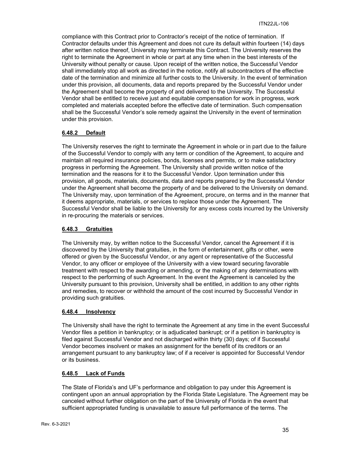compliance with this Contract prior to Contractor's receipt of the notice of termination. If Contractor defaults under this Agreement and does not cure its default within fourteen (14) days after written notice thereof, University may terminate this Contract. The University reserves the right to terminate the Agreement in whole or part at any time when in the best interests of the University without penalty or cause. Upon receipt of the written notice, the Successful Vendor shall immediately stop all work as directed in the notice, notify all subcontractors of the effective date of the termination and minimize all further costs to the University. In the event of termination under this provision, all documents, data and reports prepared by the Successful Vendor under the Agreement shall become the property of and delivered to the University. The Successful Vendor shall be entitled to receive just and equitable compensation for work in progress, work completed and materials accepted before the effective date of termination. Such compensation shall be the Successful Vendor's sole remedy against the University in the event of termination under this provision.

## <span id="page-34-0"></span>**6.48.2 Default**

The University reserves the right to terminate the Agreement in whole or in part due to the failure of the Successful Vendor to comply with any term or condition of the Agreement, to acquire and maintain all required insurance policies, bonds, licenses and permits, or to make satisfactory progress in performing the Agreement. The University shall provide written notice of the termination and the reasons for it to the Successful Vendor. Upon termination under this provision, all goods, materials, documents, data and reports prepared by the Successful Vendor under the Agreement shall become the property of and be delivered to the University on demand. The University may, upon termination of the Agreement, procure, on terms and in the manner that it deems appropriate, materials, or services to replace those under the Agreement. The Successful Vendor shall be liable to the University for any excess costs incurred by the University in re-procuring the materials or services.

#### <span id="page-34-1"></span>**6.48.3 Gratuities**

The University may, by written notice to the Successful Vendor, cancel the Agreement if it is discovered by the University that gratuities, in the form of entertainment, gifts or other, were offered or given by the Successful Vendor, or any agent or representative of the Successful Vendor, to any officer or employee of the University with a view toward securing favorable treatment with respect to the awarding or amending, or the making of any determinations with respect to the performing of such Agreement. In the event the Agreement is canceled by the University pursuant to this provision, University shall be entitled, in addition to any other rights and remedies, to recover or withhold the amount of the cost incurred by Successful Vendor in providing such gratuities.

## <span id="page-34-2"></span>**6.48.4 Insolvency**

The University shall have the right to terminate the Agreement at any time in the event Successful Vendor files a petition in bankruptcy; or is adjudicated bankrupt; or if a petition in bankruptcy is filed against Successful Vendor and not discharged within thirty (30) days; of if Successful Vendor becomes insolvent or makes an assignment for the benefit of its creditors or an arrangement pursuant to any bankruptcy law; of if a receiver is appointed for Successful Vendor or its business.

#### <span id="page-34-3"></span>**6.48.5 Lack of Funds**

The State of Florida's and UF's performance and obligation to pay under this Agreement is contingent upon an annual appropriation by the Florida State Legislature. The Agreement may be canceled without further obligation on the part of the University of Florida in the event that sufficient appropriated funding is unavailable to assure full performance of the terms. The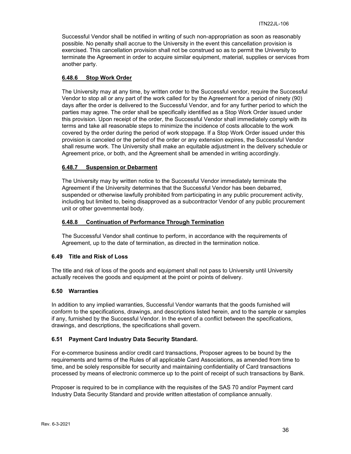Successful Vendor shall be notified in writing of such non-appropriation as soon as reasonably possible. No penalty shall accrue to the University in the event this cancellation provision is exercised. This cancellation provision shall not be construed so as to permit the University to terminate the Agreement in order to acquire similar equipment, material, supplies or services from another party.

#### <span id="page-35-0"></span>**6.48.6 Stop Work Order**

The University may at any time, by written order to the Successful vendor, require the Successful Vendor to stop all or any part of the work called for by the Agreement for a period of ninety (90) days after the order is delivered to the Successful Vendor, and for any further period to which the parties may agree. The order shall be specifically identified as a Stop Work Order issued under this provision. Upon receipt of the order, the Successful Vendor shall immediately comply with its terms and take all reasonable steps to minimize the incidence of costs allocable to the work covered by the order during the period of work stoppage. If a Stop Work Order issued under this provision is canceled or the period of the order or any extension expires, the Successful Vendor shall resume work. The University shall make an equitable adjustment in the delivery schedule or Agreement price, or both, and the Agreement shall be amended in writing accordingly.

#### <span id="page-35-1"></span>**6.48.7 Suspension or Debarment**

The University may by written notice to the Successful Vendor immediately terminate the Agreement if the University determines that the Successful Vendor has been debarred, suspended or otherwise lawfully prohibited from participating in any public procurement activity, including but limited to, being disapproved as a subcontractor Vendor of any public procurement unit or other governmental body.

#### <span id="page-35-2"></span>**6.48.8 Continuation of Performance Through Termination**

The Successful Vendor shall continue to perform, in accordance with the requirements of Agreement, up to the date of termination, as directed in the termination notice.

#### <span id="page-35-3"></span>**6.49 Title and Risk of Loss**

The title and risk of loss of the goods and equipment shall not pass to University until University actually receives the goods and equipment at the point or points of delivery.

#### <span id="page-35-4"></span>**6.50 Warranties**

In addition to any implied warranties, Successful Vendor warrants that the goods furnished will conform to the specifications, drawings, and descriptions listed herein, and to the sample or samples if any, furnished by the Successful Vendor. In the event of a conflict between the specifications, drawings, and descriptions, the specifications shall govern.

#### <span id="page-35-5"></span>**6.51 Payment Card Industry Data Security Standard.**

For e-commerce business and/or credit card transactions, Proposer agrees to be bound by the requirements and terms of the Rules of all applicable Card Associations, as amended from time to time, and be solely responsible for security and maintaining confidentiality of Card transactions processed by means of electronic commerce up to the point of receipt of such transactions by Bank.

Proposer is required to be in compliance with the requisites of the SAS 70 and/or Payment card Industry Data Security Standard and provide written attestation of compliance annually.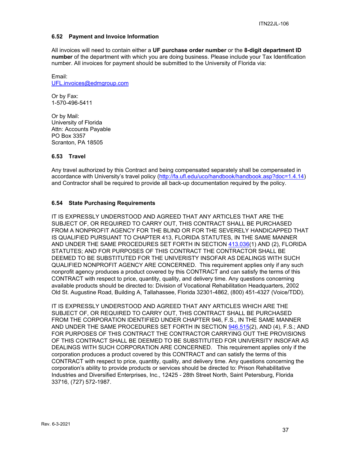## <span id="page-36-0"></span>**6.52 Payment and Invoice Information**

All invoices will need to contain either a **UF purchase order number** or the **8-digit department ID number** of the department with which you are doing business. Please include your Tax Identification number. All invoices for payment should be submitted to the University of Florida via:

Email: [UFL.invoices@edmgroup.com](mailto:UFL.invoices@edmgroup.com)

Or by Fax: 1-570-496-5411

Or by Mail: University of Florida Attn: Accounts Payable PO Box 3357 Scranton, PA 18505

## <span id="page-36-1"></span>**6.53 Travel**

Any travel authorized by this Contract and being compensated separately shall be compensated in accordance with University's travel policy [\(http://fa.ufl.edu/uco/handbook/handbook.asp?doc=1.4.14\)](http://fa.ufl.edu/uco/handbook/handbook.asp?doc=1.4.14) and Contractor shall be required to provide all back-up documentation required by the policy.

## <span id="page-36-2"></span>**6.54 State Purchasing Requirements**

IT IS EXPRESSLY UNDERSTOOD AND AGREED THAT ANY ARTICLES THAT ARE THE SUBJECT OF, OR REQUIRED TO CARRY OUT, THIS CONTRACT SHALL BE PURCHASED FROM A NONPROFIT AGENCY FOR THE BLIND OR FOR THE SEVERELY HANDICAPPED THAT IS QUALIFIED PURSUANT TO CHAPTER 413, FLORIDA STATUTES, IN THE SAME MANNER AND UNDER THE SAME PROCEDURES SET FORTH IN SECTION [413.036\(](http://www.leg.state.fl.us/STATUTES/index.cfm?App_mode=Display_Statute&Search_String=&URL=Ch0413/Sec036.HTM)1) AND (2), FLORIDA STATUTES; AND FOR PURPOSES OF THIS CONTRACT THE CONTRACTOR SHALL BE DEEMED TO BE SUBSTITUTED FOR THE UNIVERISTY INSOFAR AS DEALINGS WITH SUCH QUALIFIED NONPROFIT AGENCY ARE CONCERNED. This requirement applies only if any such nonprofit agency produces a product covered by this CONTRACT and can satisfy the terms of this CONTRACT with respect to price, quantity, quality, and delivery time. Any questions concerning available products should be directed to: Division of Vocational Rehabilitation Headquarters, 2002 Old St. Augustine Road, Building A, Tallahassee, Florida 32301-4862, (800) 451-4327 (Voice/TDD).

IT IS EXPRESSLY UNDERSTOOD AND AGREED THAT ANY ARTICLES WHICH ARE THE SUBJECT OF, OR REQUIRED TO CARRY OUT, THIS CONTRACT SHALL BE PURCHASED FROM THE CORPORATION IDENTIFIED UNDER CHAPTER 946, F.S., IN THE SAME MANNER AND UNDER THE SAME PROCEDURES SET FORTH IN SECTION [946.515\(](http://www.leg.state.fl.us/STATUTES/index.cfm?App_mode=Display_Statute&Search_String=&URL=Ch0946/Sec515.HTM)2), AND (4), F.S.; AND FOR PURPOSES OF THIS CONTRACT THE CONTRACTOR CARRYING OUT THE PROVISIONS OF THIS CONTRACT SHALL BE DEEMED TO BE SUBSTITUTED FOR UNIVERSITY INSOFAR AS DEALINGS WITH SUCH CORPORATION ARE CONCERNED. This requirement applies only if the corporation produces a product covered by this CONTRACT and can satisfy the terms of this CONTRACT with respect to price, quantity, quality, and delivery time. Any questions concerning the corporation's ability to provide products or services should be directed to: Prison Rehabilitative Industries and Diversified Enterprises, Inc., 12425 - 28th Street North, Saint Petersburg, Florida 33716, (727) 572-1987.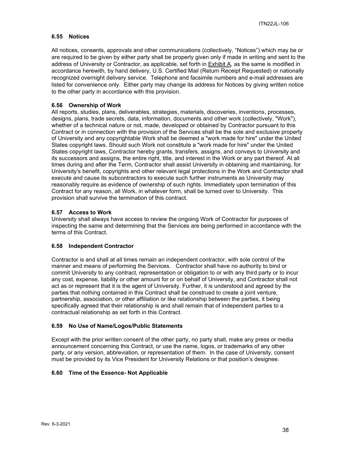## <span id="page-37-0"></span>**6.55 Notices**

All notices, consents, approvals and other communications (collectively, "Notices") which may be or are required to be given by either party shall be properly given only if made in writing and sent to the address of University or Contractor, as applicable, set forth in Exhibit A, as the same is modified in accordance herewith, by hand delivery, U.S. Certified Mail (Return Receipt Requested) or nationally recognized overnight delivery service. Telephone and facsimile numbers and e-mail addresses are listed for convenience only. Either party may change its address for Notices by giving written notice to the other party in accordance with this provision.

## <span id="page-37-1"></span>**6.56 Ownership of Work**

All reports, studies, plans, deliverables, strategies, materials, discoveries, inventions, processes, designs, plans, trade secrets, data, information, documents and other work (collectively, "Work"), whether of a technical nature or not, made, developed or obtained by Contractor pursuant to this Contract or in connection with the provision of the Services shall be the sole and exclusive property of University and any copyrightable Work shall be deemed a "work made for hire" under the United States copyright laws. Should such Work not constitute a "work made for hire" under the United States copyright laws, Contractor hereby grants, transfers, assigns, and conveys to University and its successors and assigns, the entire right, title, and interest in the Work or any part thereof. At all times during and after the Term, Contractor shall assist University in obtaining and maintaining, for University's benefit, copyrights and other relevant legal protections in the Work and Contractor shall execute and cause its subcontractors to execute such further instruments as University may reasonably require as evidence of ownership of such rights. Immediately upon termination of this Contract for any reason, all Work, in whatever form, shall be turned over to University. This provision shall survive the termination of this contract.

## <span id="page-37-2"></span>**6.57 Access to Work**

University shall always have access to review the ongoing Work of Contractor for purposes of inspecting the same and determining that the Services are being performed in accordance with the terms of this Contract.

#### <span id="page-37-3"></span>**6.58 Independent Contractor**

Contractor is and shall at all times remain an independent contractor, with sole control of the manner and means of performing the Services. Contractor shall have no authority to bind or commit University to any contract, representation or obligation to or with any third party or to incur any cost, expense, liability or other amount for or on behalf of University, and Contractor shall not act as or represent that it is the agent of University. Further, it is understood and agreed by the parties that nothing contained in this Contract shall be construed to create a joint venture, partnership, association, or other affiliation or like relationship between the parties, it being specifically agreed that their relationship is and shall remain that of independent parties to a contractual relationship as set forth in this Contract.

#### <span id="page-37-4"></span>**6.59 No Use of Name/Logos/Public Statements**

Except with the prior written consent of the other party, no party shall, make any press or media announcement concerning this Contract, or use the name, logos, or trademarks of any other party, or any version, abbreviation, or representation of them. In the case of University, consent must be provided by its Vice President for University Relations or that position's designee.

#### <span id="page-37-5"></span>**6.60 Time of the Essence- Not Applicable**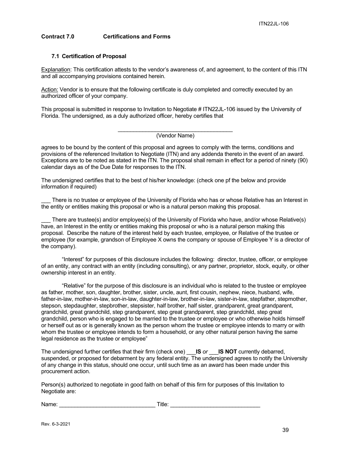## <span id="page-38-0"></span>**Contract 7.0 Certifications and Forms**

### <span id="page-38-1"></span>**7.1 Certification of Proposal**

Explanation: This certification attests to the vendor's awareness of, and agreement, to the content of this ITN and all accompanying provisions contained herein.

Action: Vendor is to ensure that the following certificate is duly completed and correctly executed by an authorized officer of your company.

This proposal is submitted in response to Invitation to Negotiate # ITN22JL-106 issued by the University of Florida. The undersigned, as a duly authorized officer, hereby certifies that

#### \_\_\_\_\_\_\_\_\_\_\_\_\_\_\_\_\_\_\_\_\_\_\_\_\_\_\_\_\_\_\_\_\_\_\_\_\_ (Vendor Name)

agrees to be bound by the content of this proposal and agrees to comply with the terms, conditions and provisions of the referenced Invitation to Negotiate (ITN) and any addenda thereto in the event of an award. Exceptions are to be noted as stated in the ITN. The proposal shall remain in effect for a period of ninety (90) calendar days as of the Due Date for responses to the ITN.

The undersigned certifies that to the best of his/her knowledge: (check one pf the below and provide information if required)

There is no trustee or employee of the University of Florida who has or whose Relative has an Interest in the entity or entities making this proposal or who is a natural person making this proposal.

There are trustee(s) and/or employee(s) of the University of Florida who have, and/or whose Relative(s) have, an Interest in the entity or entities making this proposal or who is a natural person making this proposal. Describe the nature of the interest held by each trustee, employee, or Relative of the trustee or employee (for example, grandson of Employee X owns the company or spouse of Employee Y is a director of the company).

"Interest" for purposes of this disclosure includes the following: director, trustee, officer, or employee of an entity, any contract with an entity (including consulting), or any partner, proprietor, stock, equity, or other ownership interest in an entity.

"Relative" for the purpose of this disclosure is an individual who is related to the trustee or employee as father, mother, son, daughter, brother, sister, uncle, aunt, first cousin, nephew, niece, husband, wife, father-in-law, mother-in-law, son-in-law, daughter-in-law, brother-in-law, sister-in-law, stepfather, stepmother, stepson, stepdaughter, stepbrother, stepsister, half brother, half sister, grandparent, great grandparent, grandchild, great grandchild, step grandparent, step great grandparent, step grandchild, step great grandchild, person who is engaged to be married to the trustee or employee or who otherwise holds himself or herself out as or is generally known as the person whom the trustee or employee intends to marry or with whom the trustee or employee intends to form a household, or any other natural person having the same legal residence as the trustee or employee"

The undersigned further certifies that their firm (check one) \_\_\_**IS** *or* \_\_\_**IS NOT** currently debarred, suspended, or proposed for debarment by any federal entity. The undersigned agrees to notify the University of any change in this status, should one occur, until such time as an award has been made under this procurement action.

Person(s) authorized to negotiate in good faith on behalf of this firm for purposes of this Invitation to Negotiate are:

Name: etc. and the state of the state of the Title:  $\blacksquare$